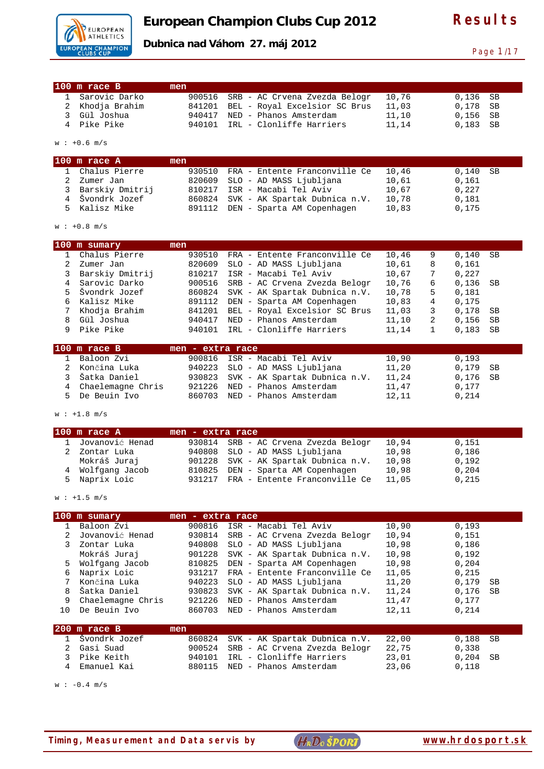

**Dubnica nad Váhom 27. máj 2012** 

Page 1/17

| $100$ m race B  | men |                                      |       |            |
|-----------------|-----|--------------------------------------|-------|------------|
| 1 Sarovic Darko |     | 900516 SRB - AC Crvena Zvezda Belogr | 10.76 | $0.136$ SB |
| 2 Khodja Brahim |     | 841201 BEL - Royal Excelsior SC Brus | 11,03 | 0.178 SB   |
| 3 Gül Joshua    |     | 940417 NED - Phanos Amsterdam        | 11,10 | $0,156$ SB |
| 4 Pike Pike     |     | 940101 IRL - Clonliffe Harriers      | 11,14 | $0.183$ SB |

w : +0.6 m/s

| $100$ m race A    | men |                                      |       |            |
|-------------------|-----|--------------------------------------|-------|------------|
| Chalus Pierre     |     | 930510 FRA - Entente Franconville Ce | 10,46 | $0,140$ SB |
| Zumer Jan         |     | 820609 SLO - AD MASS Ljubljana       | 10,61 | 0.161      |
| 3 Barskiy Dmitrij |     | 810217 ISR - Macabi Tel Aviv         | 10,67 | 0.227      |
| 4 Švondrk Jozef   |     | 860824 SVK - AK Spartak Dubnica n.V. | 10,78 | 0.181      |
| 5 Kalisz Mike     |     | 891112 DEN - Sparta AM Copenhagen    | 10,83 | 0.175      |

 $w : +0.8$  m/s

| 100 | m sumary        | men    |                               |       |   |       |      |
|-----|-----------------|--------|-------------------------------|-------|---|-------|------|
|     | Chalus Pierre   | 930510 | FRA - Entente Franconville Ce | 10,46 | 9 | 0.140 | SB   |
|     | Zumer Jan       | 820609 | SLO - AD MASS Ljubljana       | 10,61 | 8 | 0.161 |      |
|     | Barskiy Dmitrij | 810217 | ISR - Macabi Tel Aviv         | 10,67 | 7 | 0.227 |      |
|     | Sarovic Darko   | 900516 | SRB - AC Crvena Zvezda Belogr | 10,76 | 6 | 0,136 | - SB |
|     | Švondrk Jozef   | 860824 | SVK - AK Spartak Dubnica n.V. | 10,78 | 5 | 0.181 |      |
|     | Kalisz Mike     | 891112 | DEN - Sparta AM Copenhagen    | 10,83 | 4 | 0.175 |      |
|     | Khodja Brahim   | 841201 | BEL - Royal Excelsior SC Brus | 11,03 | 3 | 0.178 | - SB |
|     | Gül Joshua      | 940417 | NED - Phanos Amsterdam        | 11,10 | 2 | 0.156 | SB   |
|     | Pike Pike       | 940101 | IRL - Clonliffe Harriers      | 11,14 |   | 0,183 | SB   |
|     |                 |        |                               |       |   |       |      |

| $100$ m race B      | men - extra race |                                      |       |            |
|---------------------|------------------|--------------------------------------|-------|------------|
| 1 Baloon Zvi        |                  | 900816 ISR - Macabi Tel Aviv         | 10,90 | 0.193      |
| 2 Končina Luka      |                  | 940223 SLO - AD MASS Ljubljana       | 11,20 | 0.179 SB   |
| 3. Šatka Daniel     |                  | 930823 SVK - AK Spartak Dubnica n.V. | 11,24 | $0,176$ SB |
| 4 Chaelemagne Chris |                  | 921226 NED - Phanos Amsterdam        | 11,47 | 0.177      |
| 5 De Beuin Ivo      |                  | 860703 NED - Phanos Amsterdam        | 12.11 | 0.214      |

 $w : +1.8 m/s$ 

| $100$ m race A    | men - extra race |                                      |       |       |
|-------------------|------------------|--------------------------------------|-------|-------|
| 1 Jovanović Henad |                  | 930814 SRB - AC Crvena Zvezda Belogr | 10.94 | 0.151 |
| Zontar Luka       |                  | 940808 SLO - AD MASS Ljubljana       | 10,98 | 0.186 |
| Mokráš Juraj      |                  | 901228 SVK - AK Spartak Dubnica n.V. | 10,98 | 0,192 |
| 4 Wolfgang Jacob  |                  | 810825 DEN - Sparta AM Copenhagen    | 10,98 | 0.204 |
| 5 Naprix Loic     |                  | 931217 FRA - Entente Franconville Ce | 11,05 | 0,215 |

 $w : +1.5 m/s$ 

| 100 | m sumary          | $men -$ | extra race                    |       |             |
|-----|-------------------|---------|-------------------------------|-------|-------------|
|     | Baloon Zvi        | 900816  | ISR - Macabi Tel Aviv         | 10,90 | 0.193       |
|     | Jovanović Henad   | 930814  | SRB - AC Crvena Zvezda Belogr | 10,94 | 0.151       |
|     | Zontar Luka       | 940808  | SLO - AD MASS Ljubljana       | 10,98 | 0.186       |
|     | Mokráš Juraj      | 901228  | SVK - AK Spartak Dubnica n.V. | 10,98 | 0.192       |
| 5   | Wolfgang Jacob    | 810825  | DEN - Sparta AM Copenhagen    | 10,98 | 0.204       |
| 6   | Naprix Loic       | 931217  | FRA - Entente Franconville Ce | 11,05 | 0.215       |
|     | Končina Luka      | 940223  | SLO - AD MASS Ljubljana       | 11,20 | 0.179<br>SB |
| 8   | Šatka Daniel      | 930823  | SVK - AK Spartak Dubnica n.V. | 11,24 | 0.176<br>SB |
| 9   | Chaelemagne Chris | 921226  | NED - Phanos Amsterdam        | 11,47 | 0.177       |
| 1 O | De Beuin Ivo      | 860703  | NED - Phanos Amsterdam        | 12,11 | 0.214       |
|     |                   |         |                               |       |             |
| 200 | m race B          | men     |                               |       |             |
|     | Švondrk Jozef     | 860824  | SVK - AK Spartak Dubnica n.V. | 22,00 | 0.188<br>SB |

| T PAGHATIZ AGRET | $000021$ DVR AR Spallan Dabillea II.V. | - 44. VV | ∟ت ن∟ب ب   |
|------------------|----------------------------------------|----------|------------|
| 2  Gasi Suad     | 900524 SRB - AC Crvena Zvezda Belogr   | 22.75    | 0.338      |
| 3 Pike Keith     | 940101 IRL - Clonliffe Harriers        | 23,01    | $0,204$ SB |
| 4 Emanuel Kai    | 880115 NED - Phanos Amsterdam          | 23,06    | 0.118      |

 $w : -0.4 m/s$ 

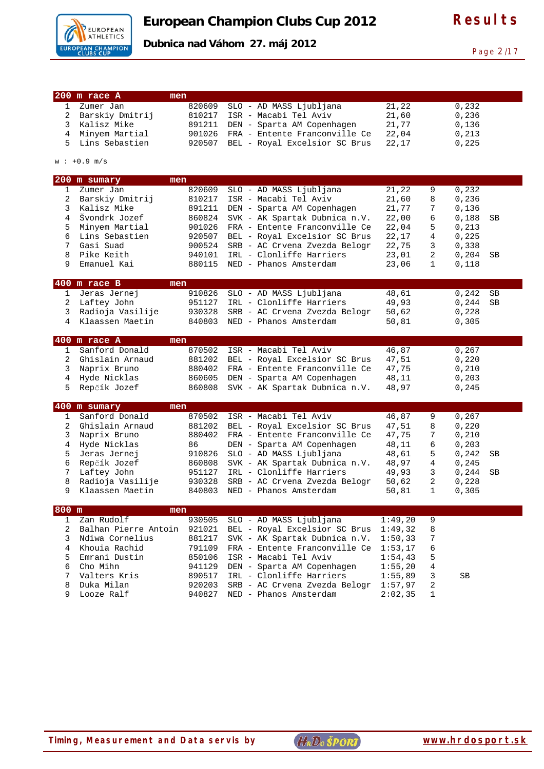

Page 2/17

**Dubnica nad Váhom 27. máj 2012** 

|   | 200 m race A     | men    |                               |       |   |       |  |
|---|------------------|--------|-------------------------------|-------|---|-------|--|
|   | Zumer Jan        | 820609 | SLO - AD MASS Ljubljana       | 21,22 |   | 0,232 |  |
| 2 | Barskiy Dmitrij  | 810217 | ISR - Macabi Tel Aviv         | 21,60 |   | 0,236 |  |
| 3 | Kalisz Mike      | 891211 | DEN - Sparta AM Copenhagen    | 21.77 |   | 0,136 |  |
| 4 | Minyem Martial   | 901026 | FRA - Entente Franconville Ce | 22,04 |   | 0,213 |  |
|   | 5 Lins Sebastien | 920507 | BEL - Royal Excelsior SC Brus | 22,17 |   | 0,225 |  |
|   |                  |        |                               |       |   |       |  |
|   | $w : +0.9$ m/s   |        |                               |       |   |       |  |
|   | 200 m sumary     | men    |                               |       |   |       |  |
|   | Zumer Jan        | 820609 | SLO - AD MASS Ljubljana       | 21,22 | 9 | 0,232 |  |
| 2 | Barskiy Dmitrij  | 810217 | ISR - Macabi Tel Aviv         | 21,60 | 8 | 0.236 |  |
|   | 3 Kalisz Mike    | 891211 | DEN - Sparta AM Copenhagen    | 21.77 | 7 | 0.136 |  |

|   | $400$ m race $A$   | men    |                                      |       |              |            |    |
|---|--------------------|--------|--------------------------------------|-------|--------------|------------|----|
|   | Klaassen Maetin    | 840803 | NED - Phanos Amsterdam               | 50,81 |              | 0.305      |    |
|   | 3 Radioja Vasilije |        | 930328 SRB - AC Crvena Zvezda Belogr | 50,62 |              | 0,228      |    |
| 2 | Laftey John        |        | 951127 IRL - Clonliffe Harriers      | 49,93 |              | 0.244      | SB |
|   | 1 Jeras Jernej     |        | 910826 SLO - AD MASS Ljubljana       | 48,61 |              | 0,242      | SB |
|   | $400$ m race B     | men    |                                      |       |              |            |    |
| 9 | Emanuel Kai        |        | 880115 NED - Phanos Amsterdam        | 23,06 | $\mathbf{1}$ | 0.118      |    |
| 8 | Pike Keith         |        | 940101 IRL - Clonliffe Harriers      | 23,01 | 2            | $0,204$ SB |    |
| 7 | Gasi Suad          |        | 900524 SRB - AC Crvena Zvezda Belogr | 22,75 | 3            | 0.338      |    |
|   | Lins Sebastien     |        | 920507 BEL - Royal Excelsior SC Brus | 22,17 | 4            | 0,225      |    |
| 5 | Minyem Martial     |        | 901026 FRA - Entente Franconville Ce | 22,04 | 5            | 0,213      |    |
|   |                    |        |                                      |       |              |            |    |

|    | $100$ in race $\pi$ |     |                                      |       |        |  |
|----|---------------------|-----|--------------------------------------|-------|--------|--|
|    | Sanford Donald      |     | 870502 ISR - Macabi Tel Aviv         | 46.87 | 0,267  |  |
| 2  | Ghislain Arnaud     |     | 881202 BEL - Royal Excelsior SC Brus | 47.51 | 0,220  |  |
| 3. | Naprix Bruno        |     | 880402 FRA - Entente Franconville Ce | 47.75 | 0,210  |  |
| 4  | Hyde Nicklas        |     | 860605 DEN - Sparta AM Copenhagen    | 48,11 | 0, 203 |  |
|    | 5 Repčík Jozef      |     | 860808 SVK - AK Spartak Dubnica n.V. | 48.97 | 0.245  |  |
|    |                     |     |                                      |       |        |  |
|    | 400 m sumary        | men |                                      |       |        |  |

|   | Sanford Donald   | 870502 | ISR - Macabi Tel Aviv          | 46.87 | 9  | 0,267         |  |
|---|------------------|--------|--------------------------------|-------|----|---------------|--|
|   | Ghislain Arnaud  | 881202 | BEL - Royal Excelsior SC Brus  | 47.51 | 8  | 0.220         |  |
|   | Naprix Bruno     | 880402 | FRA - Entente Franconville Ce  | 47.75 |    | 0,210         |  |
|   | 4 Hyde Nicklas   | 86     | DEN - Sparta AM Copenhagen     | 48,11 | 6  | 0.203         |  |
| 5 | Jeras Jernej     |        | 910826 SLO - AD MASS Ljubljana | 48,61 | 5  | $0,242$ SB    |  |
| 6 | Repčík Jozef     | 860808 | SVK - AK Spartak Dubnica n.V.  | 48,97 | 4  | 0.245         |  |
|   | Laftey John      | 951127 | IRL - Clonliffe Harriers       | 49,93 | 3  | 0,244<br>- SB |  |
| 8 | Radioja Vasilije | 930328 | SRB - AC Crvena Zvezda Belogr  | 50,62 | -2 | 0,228         |  |
|   | Klaassen Maetin  | 840803 | NED - Phanos Amsterdam         | 50,81 |    | 0,305         |  |
|   |                  |        |                                |       |    |               |  |

| $800$ m | men               |        |                                                                   |         |                          |    |  |
|---------|-------------------|--------|-------------------------------------------------------------------|---------|--------------------------|----|--|
|         | Zan Rudolf        |        | 930505 SLO - AD MASS Ljubljana                                    | 1:49,20 | 9                        |    |  |
|         |                   |        | Balhan Pierre Antoin 921021 BEL - Royal Excelsior SC Brus 1:49,32 |         | - 8                      |    |  |
|         | 3 Ndiwa Cornelius |        | 881217 SVK - AK Spartak Dubnica n.V. 1:50,33                      |         | $\overline{7}$           |    |  |
|         | 4 Khouia Rachid   |        | 791109 FRA - Entente Franconville Ce 1:53,17                      |         | - 6                      |    |  |
|         | 5 Emrani Dustin   |        | 850106 ISR - Macabi Tel Aviv                                      | 1:54.43 | $-5$                     |    |  |
| 6       | Cho Mihn          |        | 941129 DEN - Sparta AM Copenhagen $1:55,20$                       |         | $\overline{4}$           |    |  |
|         | Valters Kris      |        | 890517 IRL - Clonliffe Harriers                                   | 1:55.89 | $\overline{\phantom{a}}$ | SB |  |
| 8       | Duka Milan        |        | 920203 SRB - AC Crvena Zvezda Belogr                              | 1:57,97 | $\overline{2}$           |    |  |
| 9.      | Looze Ralf        | 940827 | NED - Phanos Amsterdam                                            | 2:02.35 |                          |    |  |

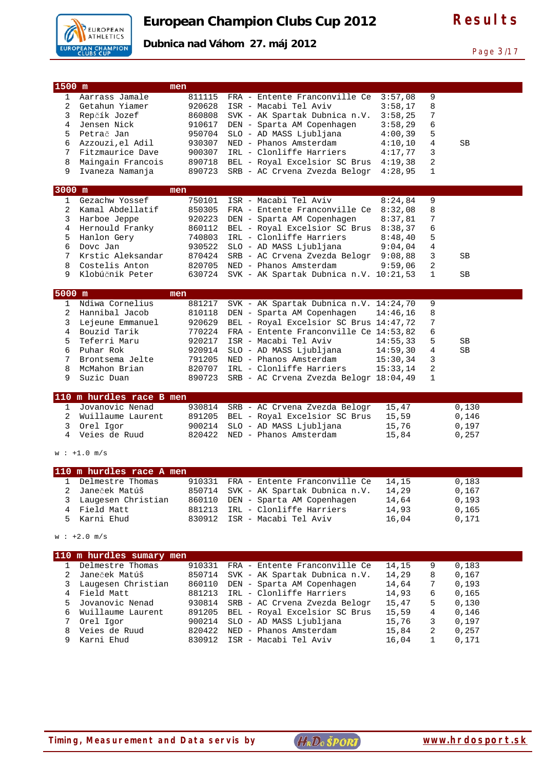

Page 3/17

| $1500$ m       |                                              | men              |                                                   |                |        |                |  |
|----------------|----------------------------------------------|------------------|---------------------------------------------------|----------------|--------|----------------|--|
| $\mathbf{1}$   | Aarrass Jamale                               | 811115           | FRA - Entente Franconville Ce                     | 3:57,08        | 9      |                |  |
| $\overline{2}$ | Getahun Yiamer                               | 920628           | ISR - Macabi Tel Aviv                             | 3:58,17        | 8      |                |  |
| 3              | Repčík Jozef                                 | 860808           | SVK - AK Spartak Dubnica n.V.                     | 3:58,25        | 7      |                |  |
| 4              | Jensen Nick                                  | 910617           | DEN - Sparta AM Copenhagen                        | 3:58,29        | 6      |                |  |
| 5              | Petrač Jan                                   | 950704           | SLO - AD MASS Ljubljana                           | 4:00,39        | 5      |                |  |
| 6              | Azzouzi, el Adil                             | 930307           | NED - Phanos Amsterdam                            | 4:10,10        | 4      | SB             |  |
| 7              | Fitzmaurice Dave                             | 900307           | IRL - Clonliffe Harriers                          | 4:17,77        | 3      |                |  |
| 8              | Maingain Francois                            |                  | 890718 BEL - Royal Excelsior SC Brus              | 4:19,38        | 2      |                |  |
| 9              | Ivaneza Namanja                              | 890723           | SRB - AC Crvena Zvezda Belogr                     | 4:28,95        | 1      |                |  |
| 3000 m         |                                              |                  |                                                   |                |        |                |  |
| $\mathbf{1}$   | Gezachw Yossef                               | men              | ISR - Macabi Tel Aviv                             | 8:24,84        | 9      |                |  |
| 2              |                                              | 750101           | FRA - Entente Franconville Ce                     |                |        |                |  |
|                | Kamal Abdellatif                             | 850305           |                                                   | 8:32,08        | 8      |                |  |
| 3              | Harboe Jeppe                                 | 920223           | DEN - Sparta AM Copenhagen                        | 8:37,81        | 7      |                |  |
| 4              | Hernould Franky                              | 860112           | BEL - Royal Excelsior SC Brus                     | 8:38,37        | 6      |                |  |
| 5              | Hanlon Gery                                  | 740803           | IRL - Clonliffe Harriers                          | 8:48,40        | 5      |                |  |
| 6              | Dovc Jan                                     | 930522           | SLO - AD MASS Ljubljana                           | 9:04,04        | 4      |                |  |
| 7              | Krstic Aleksandar                            | 870424           | SRB - AC Crvena Zvezda Belogr                     | 9:08,88        | 3      | SB             |  |
| 8              | Costelis Anton                               | 820705           | NED - Phanos Amsterdam                            | 9:59,06        | 2      |                |  |
| 9              | Klobúčnik Peter                              | 630724           | SVK - AK Spartak Dubnica n.V. 10:21,53            |                | 1      | SB             |  |
| 5000 m         |                                              | men              |                                                   |                |        |                |  |
| 1              | Ndiwa Cornelius                              | 881217           | SVK - AK Spartak Dubnica n.V. 14:24,70            |                | 9      |                |  |
| 2              | Hannibal Jacob                               | 810118           | DEN - Sparta AM Copenhagen                        | 14:46,16       | 8      |                |  |
| 3              | Lejeune Emmanuel                             | 920629           | BEL - Royal Excelsior SC Brus 14:47,72            |                | 7      |                |  |
| 4              | Bouzid Tarik                                 | 770224           | FRA - Entente Franconville Ce 14:53,82            |                | 6      |                |  |
|                |                                              |                  |                                                   |                |        |                |  |
| 5              | Teferri Maru                                 | 920217           | ISR - Macabi Tel Aviv                             | 14:55,33       | 5      | SВ             |  |
| 6              | Puhar Rok                                    | 920914           | SLO - AD MASS Ljubljana                           | 14:59,30       | 4      | SВ             |  |
| 7              | Brontsema Jelte                              | 791205           | NED - Phanos Amsterdam                            | 15:30,34       | 3      |                |  |
| 8              | McMahon Brian                                | 820707           | IRL - Clonliffe Harriers                          | 15:33,14       | 2      |                |  |
| 9              | Suzic Duan                                   | 890723           | SRB - AC Crvena Zvezda Belogr 18:04,49            |                | 1      |                |  |
|                | 110 m hurdles race B men                     |                  |                                                   |                |        |                |  |
| $\mathbf{1}$   | Jovanovic Nenad                              |                  |                                                   |                |        |                |  |
|                |                                              |                  |                                                   |                |        |                |  |
| 2              | Wuillaume Laurent                            | 930814           | SRB - AC Crvena Zvezda Belogr                     | 15,47          |        | 0,130          |  |
|                |                                              | 891205           | BEL - Royal Excelsior SC Brus                     | 15,59          |        | 0,146          |  |
| 3<br>4         | Orel Igor<br>Veies de Ruud                   | 900214<br>820422 | SLO - AD MASS Ljubljana<br>NED - Phanos Amsterdam | 15,76<br>15,84 |        | 0,197<br>0,257 |  |
|                |                                              |                  |                                                   |                |        |                |  |
|                | $w : +1.0 m/s$                               |                  |                                                   |                |        |                |  |
|                |                                              |                  |                                                   |                |        |                |  |
| $\mathbf{1}$   | 110 m hurdles race A men<br>Delmestre Thomas |                  |                                                   |                |        |                |  |
|                |                                              | 910331           | FRA - Entente Franconville Ce                     | 14,15          |        | 0,183          |  |
| 2              | Janeček Matúš                                | 850714           | SVK - AK Spartak Dubnica n.V.                     | 14,29          |        | 0,167          |  |
| 3              | Laugesen Christian                           | 860110           | DEN - Sparta AM Copenhagen                        | 14,64          |        | 0,193          |  |
| 4<br>5         | Field Matt                                   | 881213           | IRL - Clonliffe Harriers                          | 14,93          |        | 0,165          |  |
|                | Karni Ehud                                   | 830912           | ISR - Macabi Tel Aviv                             | 16,04          |        | 0,171          |  |
|                | $w : +2.0 m/s$                               |                  |                                                   |                |        |                |  |
|                |                                              |                  |                                                   |                |        |                |  |
|                | 110 m hurdles sumary men                     |                  |                                                   |                |        |                |  |
| $\mathbf{1}$   | Delmestre Thomas                             | 910331           | FRA - Entente Franconville Ce                     | 14,15          | 9      | 0,183          |  |
| 2              | Janeček Matúš                                | 850714           | SVK - AK Spartak Dubnica n.V.                     | 14,29          | 8      | 0,167          |  |
| 3              | Laugesen Christian                           | 860110           | DEN - Sparta AM Copenhagen                        | 14,64          | 7      | 0,193          |  |
| 4              | Field Matt                                   | 881213           | IRL - Clonliffe Harriers                          | 14,93          | 6      | 0,165          |  |
| 5              | Jovanovic Nenad                              | 930814           | SRB - AC Crvena Zvezda Belogr                     | 15,47          | 5      | 0,130          |  |
| 6              | Wuillaume Laurent                            | 891205           | BEL - Royal Excelsior SC Brus                     | 15,59          | 4      | 0,146          |  |
| 7              | Orel Igor                                    | 900214           | SLO - AD MASS Ljubljana                           | 15,76          | 3      | 0,197          |  |
| 8<br>9         | Veies de Ruud<br>Karni Ehud                  | 820422<br>830912 | NED - Phanos Amsterdam<br>ISR - Macabi Tel Aviv   | 15,84<br>16,04 | 2<br>1 | 0,257<br>0,171 |  |

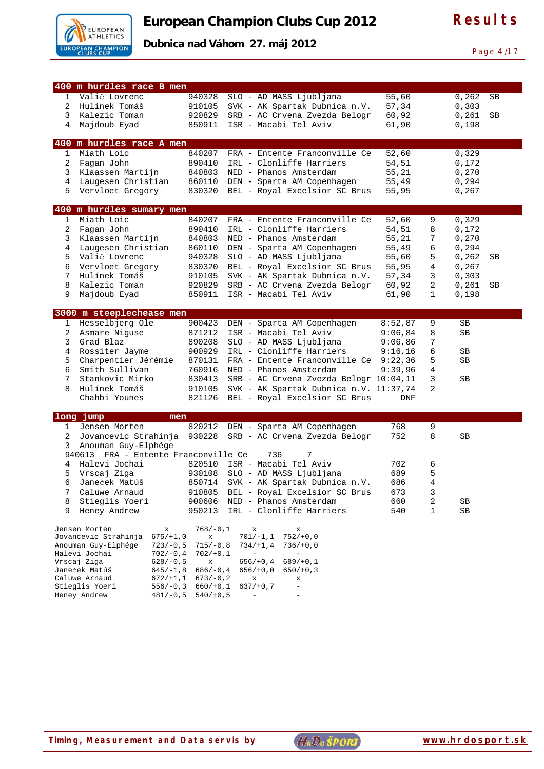

**Dubnica nad Váhom 27. máj 2012** 

Page 4/17

|                   | 400 m hurdles race B men                                 |                  |                                                           |                |                  |                |    |
|-------------------|----------------------------------------------------------|------------------|-----------------------------------------------------------|----------------|------------------|----------------|----|
| 1                 | Valič Lovrenc                                            | 940328           | SLO - AD MASS Ljubljana                                   | 55,60          |                  | 0,262          | SB |
| 2                 | Hulínek Tomáš                                            | 910105           | SVK - AK Spartak Dubnica n.V.                             | 57,34          |                  | 0,303          |    |
| $\mathbf{3}$      | Kalezic Toman                                            | 920829           | SRB - AC Crvena Zvezda Belogr                             | 60,92          |                  | 0,261          | SB |
| 4                 | Majdoub Eyad                                             | 850911           | ISR - Macabi Tel Aviv                                     | 61,90          |                  | 0,198          |    |
|                   |                                                          |                  |                                                           |                |                  |                |    |
|                   | 400 m hurdles race A men<br>Miath Loic                   |                  |                                                           |                |                  |                |    |
| $\mathbf{1}$<br>2 | Fagan John                                               | 840207<br>890410 | FRA - Entente Franconville Ce<br>IRL - Clonliffe Harriers | 52,60          |                  | 0,329          |    |
| 3                 | Klaassen Martijn                                         | 840803           | NED - Phanos Amsterdam                                    | 54,51<br>55,21 |                  | 0,172<br>0,270 |    |
| 4                 | Laugesen Christian                                       | 860110           | DEN - Sparta AM Copenhagen                                | 55,49          |                  | 0,294          |    |
| 5                 | Vervloet Gregory                                         | 830320           | BEL - Royal Excelsior SC Brus                             | 55,95          |                  | 0,267          |    |
|                   |                                                          |                  |                                                           |                |                  |                |    |
|                   | 400 m hurdles sumary men                                 |                  |                                                           |                |                  |                |    |
| 1                 | Miath Loic                                               | 840207           | FRA - Entente Franconville Ce                             | 52,60          | 9                | 0,329          |    |
| 2                 | Fagan John                                               | 890410           | IRL - Clonliffe Harriers                                  | 54,51          | 8                | 0,172          |    |
| 3                 | Klaassen Martijn                                         | 840803           | NED - Phanos Amsterdam                                    | 55,21          | 7                | 0,270          |    |
| 4                 | Laugesen Christian                                       | 860110           | DEN - Sparta AM Copenhagen                                | 55,49          | б                | 0,294          |    |
| 5                 | Valič Lovrenc                                            | 940328           | SLO - AD MASS Ljubljana                                   | 55,60          | 5                | 0,262          | SB |
| 6                 | Vervloet Gregory                                         | 830320           | BEL - Royal Excelsior SC Brus                             | 55,95          | 4                | 0,267          |    |
| 7                 | Hulínek Tomáš                                            | 910105           | SVK - AK Spartak Dubnica n.V.                             | 57,34          | 3                | 0,303          |    |
| 8                 | Kalezic Toman                                            | 920829           | SRB - AC Crvena Zvezda Belogr<br>ISR - Macabi Tel Aviv    | 60,92          | 2<br>$\mathbf 1$ | 0,261          | SB |
| 9                 | Majdoub Eyad                                             | 850911           |                                                           | 61,90          |                  | 0,198          |    |
|                   | 3000 m steeplechease men                                 |                  |                                                           |                |                  |                |    |
| $\mathbf{1}$      | Hesselbjerg Ole                                          | 900423           | DEN - Sparta AM Copenhagen                                | 8:52,87        | 9                | SB             |    |
| 2                 | Asmare Niquse                                            | 871212           | ISR - Macabi Tel Aviv                                     | 9:06,84        | 8                | SB             |    |
| 3                 | Grad Blaz                                                | 890208           | SLO - AD MASS Ljubljana                                   | 9:06,86        | 7                |                |    |
| 4                 | Rossiter Jayme                                           | 900929           | IRL - Clonliffe Harriers                                  | 9:16,16        | б                | SB             |    |
| 5                 | Charpentier Jérémie                                      | 870131           | FRA - Entente Franconville Ce                             | 9:22,36        | 5                | SB             |    |
| 6                 | Smith Sullivan                                           | 760916           | NED - Phanos Amsterdam                                    | 9:39,96        | $\overline{4}$   |                |    |
| 7                 | Stankovic Mirko                                          | 830413           | SRB - AC Crvena Zvezda Belogr 10:04,11                    |                | 3                | SB             |    |
| 8                 | Hulínek Tomáš                                            | 910105           | SVK - AK Spartak Dubnica n.V. 11:37,74                    |                | 2                |                |    |
|                   | Chahbi Younes                                            | 821126           | BEL - Royal Excelsior SC Brus                             | <b>DNF</b>     |                  |                |    |
|                   | long jump<br>men                                         |                  |                                                           |                |                  |                |    |
| 1                 | Jensen Morten                                            | 820212           | DEN - Sparta AM Copenhagen                                | 768            | 9                |                |    |
| $\overline{2}$    | Jovancevic Strahinja                                     | 930228           | SRB - AC Crvena Zvezda Belogr                             | 752            | 8                | SВ             |    |
| 3                 | Anouman Guy-Elphége                                      |                  |                                                           |                |                  |                |    |
|                   | 940613 FRA - Entente Franconville Ce                     |                  | 736<br>7                                                  |                |                  |                |    |
| 4                 | Halevi Jochai                                            | 820510           | ISR - Macabi Tel Aviv                                     | 702            | 6                |                |    |
| 5                 | Vrscaj Ziga                                              | 930108           | SLO - AD MASS Ljubljana                                   | 689            | 5                |                |    |
| 6                 | Janeček Matúš                                            | 850714           | SVK - AK Spartak Dubnica n.V.                             | 686            | 4                |                |    |
| 7                 | Caluwe Arnaud                                            | 910805           | BEL - Royal Excelsior SC Brus                             | 673            | 3                |                |    |
| 8                 | Stieglis Yoeri                                           | 900606           | NED - Phanos Amsterdam                                    | 660            | 2                | SВ             |    |
| 9                 | Heney Andrew                                             | 950213           | IRL - Clonliffe Harriers                                  | 540            | 1                | SB             |    |
|                   | Jensen Morten<br>х                                       | $768/-0,1$       | x<br>х                                                    |                |                  |                |    |
|                   | Jovancevic Strahinja<br>$675/+1,0$                       | X                | $701/-1,1$<br>$752/+0,0$                                  |                |                  |                |    |
|                   | Anouman Guy-Elphége<br>$723/-0,5$                        | $715/-0,8$       | $734/+1,4$<br>$736/+0,0$                                  |                |                  |                |    |
|                   | Halevi Jochai<br>$702/-0,4$                              | $702/+0,1$       |                                                           |                |                  |                |    |
|                   | Vrscaj Ziga<br>$628/-0,5$<br>Janeček Matúš<br>$645/-1,8$ | x<br>$686/-0,4$  | $656/+0,4$<br>$689/+0,1$<br>$656/+0,0$<br>$650/+0,3$      |                |                  |                |    |
|                   | Caluwe Arnaud<br>672/11,1                                | $673/-0,2$       | х<br>х                                                    |                |                  |                |    |
|                   | Stieglis Yoeri<br>$556/-0,3$                             | $660/+0,1$       | $637/+0,7$<br>$\overline{\phantom{a}}$                    |                |                  |                |    |
|                   | Heney Andrew<br>$481/-0,5$                               | $540/+0,5$       | $\qquad \qquad -$                                         |                |                  |                |    |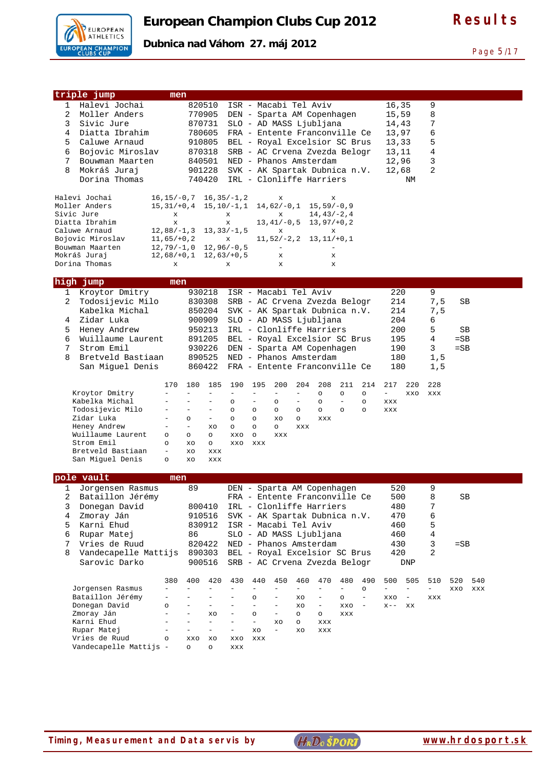

Page 5/17

| triple jump                      | men                 |                                               |                   |                                      |                          |                          |                          |                          |                                 |          |                          |           |     |
|----------------------------------|---------------------|-----------------------------------------------|-------------------|--------------------------------------|--------------------------|--------------------------|--------------------------|--------------------------|---------------------------------|----------|--------------------------|-----------|-----|
| Halevi Jochai<br>1               |                     | 820510                                        |                   | ISR - Macabi Tel Aviv                |                          |                          |                          |                          | 16,35                           |          | 9                        |           |     |
| 2<br>Moller Anders               |                     | 770905                                        |                   | DEN - Sparta AM Copenhagen           |                          |                          |                          |                          | 15,59                           |          | 8                        |           |     |
| 3<br>Sivic Jure                  |                     |                                               |                   | SLO - AD MASS Ljubljana              |                          |                          |                          |                          |                                 |          | 7                        |           |     |
|                                  |                     | 870731                                        |                   |                                      |                          |                          |                          |                          | 14,43                           |          |                          |           |     |
| 4<br>Diatta Ibrahim              |                     | 780605                                        |                   | FRA - Entente Franconville Ce        |                          |                          |                          |                          | 13,97                           |          | 6                        |           |     |
| 5<br>Caluwe Arnaud               |                     | 910805                                        |                   | BEL - Royal Excelsior SC Brus        |                          |                          |                          |                          | 13,33                           |          | 5                        |           |     |
| 6<br>Bojovic Miroslav            |                     | 870318                                        |                   | SRB - AC Crvena Zvezda Belogr        |                          |                          |                          |                          | 13,11                           |          | 4                        |           |     |
| 7<br>Bouwman Maarten             |                     | 840501                                        |                   | NED - Phanos Amsterdam               |                          |                          |                          |                          | 12,96                           |          | 3                        |           |     |
| 8<br>Mokráš Juraj                |                     | 901228                                        |                   | SVK - AK Spartak Dubnica n.V.        |                          |                          |                          |                          | 12,68                           |          | $\overline{2}$           |           |     |
| Dorina Thomas                    |                     | 740420                                        |                   | IRL - Clonliffe Harriers             |                          |                          |                          |                          |                                 | NΜ       |                          |           |     |
|                                  |                     |                                               |                   |                                      |                          |                          |                          |                          |                                 |          |                          |           |     |
|                                  | $16, 15/-0, 7$      |                                               |                   |                                      |                          |                          |                          |                          |                                 |          |                          |           |     |
| Halevi Jochai<br>Moller Anders   |                     |                                               | $16,35/-1,2$      | x                                    |                          | х                        |                          |                          |                                 |          |                          |           |     |
|                                  | $15, 31/+0, 4$      |                                               | $15, 10/-1, 1$    | 14,62/-0,1                           |                          | $15, 59/-0, 9$           |                          |                          |                                 |          |                          |           |     |
| Sivic Jure<br>Diatta Ibrahim     | x                   |                                               | X                 | x<br>$13, 41/-0, 5$                  |                          | $14, 43/-2, 4$           |                          |                          |                                 |          |                          |           |     |
|                                  | x                   |                                               | x                 |                                      |                          | $13,97/+0,2$             |                          |                          |                                 |          |                          |           |     |
| Caluwe Arnaud                    | $12,88/-1,3$        |                                               | $13, 33/ - 1, 5$  | х                                    |                          | х                        |                          |                          |                                 |          |                          |           |     |
| Bojovic Miroslav                 | $11,65/+0,2$        |                                               | X                 | $11, 52/-2, 2$                       |                          | $13, 11/+0, 1$           |                          |                          |                                 |          |                          |           |     |
| Bouwman Maarten                  | $12,79/-1,0$        |                                               | $12,96/-0,5$      | $\overline{\phantom{a}}$             |                          | $\overline{\phantom{a}}$ |                          |                          |                                 |          |                          |           |     |
| Mokráš Juraj                     | $12,68/+0,1$        |                                               | $12,63/+0,5$      | x                                    |                          | х                        |                          |                          |                                 |          |                          |           |     |
| Dorina Thomas                    | х                   |                                               | х                 | x                                    |                          | X                        |                          |                          |                                 |          |                          |           |     |
|                                  |                     |                                               |                   |                                      |                          |                          |                          |                          |                                 |          |                          |           |     |
| high jump                        | men                 |                                               |                   |                                      |                          |                          |                          |                          |                                 |          |                          |           |     |
| Kroytor Dmitry<br>1              |                     | 930218                                        |                   | ISR - Macabi Tel Aviv                |                          |                          |                          |                          | 220                             |          | 9                        |           |     |
| 2<br>Todosijevic Milo            |                     | 830308                                        |                   | SRB - AC Crvena Zvezda Belogr        |                          |                          |                          |                          | 214                             |          | 7,5                      | SB        |     |
| Kabelka Michal                   |                     | 850204                                        |                   | SVK - AK Spartak Dubnica n.V.        |                          |                          |                          |                          | 214                             |          | 7,5                      |           |     |
| Zidar Luka<br>4                  |                     | 900909                                        |                   | SLO - AD MASS Ljubljana              |                          |                          |                          |                          | 204                             |          | 6                        |           |     |
|                                  |                     |                                               |                   |                                      |                          |                          |                          |                          |                                 |          |                          |           |     |
| Heney Andrew<br>5                |                     | 950213                                        |                   | IRL - Clonliffe Harriers             |                          |                          |                          |                          | 200                             |          | 5                        | SB        |     |
| Wuillaume Laurent<br>6           |                     | 891205                                        |                   | BEL - Royal Excelsior SC Brus        |                          |                          |                          |                          | 195                             |          | 4                        | $=$ SB    |     |
| 7<br>Strom Emil                  |                     | 930226                                        |                   | DEN - Sparta AM Copenhagen           |                          |                          |                          |                          | 190                             |          | 3                        | $=$ SB    |     |
| Bretveld Bastiaan<br>8           |                     | 890525                                        |                   | NED - Phanos Amsterdam               |                          |                          |                          |                          | 180                             |          | 1, 5                     |           |     |
| San Miguel Denis                 |                     | 860422                                        |                   | FRA - Entente Franconville Ce        |                          |                          |                          |                          | 180                             |          | 1, 5                     |           |     |
|                                  |                     |                                               |                   |                                      |                          |                          |                          |                          |                                 |          |                          |           |     |
|                                  | 170                 | 180<br>185                                    | 190               | 195<br>200                           | 204                      | 208                      | 211                      | 214                      | 217                             | 220      |                          |           |     |
|                                  |                     |                                               |                   |                                      |                          |                          |                          |                          |                                 |          | 228                      |           |     |
|                                  |                     | ÷<br>$\equiv$                                 | $\qquad \qquad -$ | $\equiv$<br>$\qquad \qquad -$        | $\qquad \qquad -$        | $\circ$                  | $\circ$                  | $\circ$                  | $\overline{\phantom{a}}$        | XXO      | XXX                      |           |     |
| Kroytor Dmitry<br>Kabelka Michal |                     | $\overline{\phantom{0}}$<br>$\qquad \qquad -$ | $\circ$           | -<br>O                               | $\qquad \qquad -$        | $\circ$                  | $\qquad \qquad -$        | $\circ$                  | XXX                             |          |                          |           |     |
|                                  |                     | $\qquad \qquad -$<br>$\overline{\phantom{0}}$ | $\circ$           |                                      |                          |                          |                          | $\circ$                  |                                 |          |                          |           |     |
| Todosijevic Milo                 | $\equiv$            | $\circ$<br>$\overline{\phantom{a}}$           | $\circ$           | $\circ$<br>$\circ$<br>XO             | $\circ$<br>$\circ$       | $\circ$                  | $\circ$                  |                          | XXX                             |          |                          |           |     |
| Zidar Luka                       | $\qquad \qquad -$   | $\overline{\phantom{0}}$<br>XO                |                   | $\circ$<br>$\circ$                   | XXX                      | XXX                      |                          |                          |                                 |          |                          |           |     |
| Heney Andrew                     |                     |                                               | $\circ$           | $\circ$                              |                          |                          |                          |                          |                                 |          |                          |           |     |
| Wuillaume Laurent                | $\circ$             | $\circ$<br>$\circ$                            | XXO               | $\circ$<br>XXX                       |                          |                          |                          |                          |                                 |          |                          |           |     |
| Strom Emil                       | $\circ$<br>$\equiv$ | XO<br>$\circ$                                 | XXO               | XXX                                  |                          |                          |                          |                          |                                 |          |                          |           |     |
| Bretveld Bastiaan                |                     | XO<br>XXX                                     |                   |                                      |                          |                          |                          |                          |                                 |          |                          |           |     |
| San Miguel Denis                 | O                   | XO<br>XXX                                     |                   |                                      |                          |                          |                          |                          |                                 |          |                          |           |     |
|                                  |                     |                                               |                   |                                      |                          |                          |                          |                          |                                 |          |                          |           |     |
| pole vault                       | men                 |                                               |                   |                                      |                          |                          |                          |                          |                                 |          |                          |           |     |
| 1<br>Jorgensen Rasmus            |                     | 89                                            |                   | DEN - Sparta AM Copenhagen           |                          |                          |                          |                          | 520                             |          | 9                        |           |     |
| 2<br>Bataillon Jérémy            |                     |                                               |                   | FRA - Entente Franconville Ce        |                          |                          |                          |                          | 500                             |          | 8                        | <b>SB</b> |     |
| 3<br>Donegan David               |                     | 800410                                        |                   | IRL - Clonliffe Harriers             |                          |                          |                          |                          | 480                             |          | 7                        |           |     |
| 4<br>Zmoray Ján                  |                     | 910516                                        |                   | SVK - AK Spartak Dubnica n.V.        |                          |                          |                          |                          | 470                             |          | 6                        |           |     |
| Karni Ehud<br>5                  |                     | 830912                                        |                   | ISR - Macabi Tel Aviv                |                          |                          |                          |                          | 460                             |          | 5                        |           |     |
| 6<br>Rupar Matej                 |                     | 86                                            |                   | SLO - AD MASS Ljubljana              |                          |                          |                          |                          | 460                             |          | 4                        |           |     |
| 7                                |                     |                                               |                   |                                      |                          |                          |                          |                          |                                 |          | 3                        |           |     |
| Vries de Ruud                    |                     | 820422                                        |                   | NED - Phanos Amsterdam               |                          |                          |                          |                          | 430                             |          |                          | $=$ SB    |     |
| Vandecapelle Mattijs<br>8        |                     | 890303                                        |                   | BEL - Royal Excelsior SC Brus        |                          |                          |                          |                          | 420                             |          | 2                        |           |     |
| Sarovic Darko                    |                     | 900516                                        |                   | SRB - AC Crvena Zvezda Belogr        |                          |                          |                          |                          |                                 | DNP      |                          |           |     |
|                                  |                     |                                               |                   |                                      |                          |                          |                          |                          |                                 |          |                          |           |     |
|                                  | 380                 | 400<br>420                                    | 430               | 440<br>450                           | 460                      | 470                      | 480                      | 490                      | 500<br>$\overline{\phantom{0}}$ | 505      | 510                      | 520       | 540 |
| Jorgensen Rasmus                 |                     |                                               |                   | $\overline{\phantom{0}}$             | $\overline{\phantom{0}}$ |                          | $\overline{\phantom{0}}$ | O                        |                                 |          | $\overline{\phantom{0}}$ | XXO       | XXX |
| Bataillon Jérémy                 |                     | $\overline{\phantom{0}}$                      |                   | O                                    | XO                       |                          | $\circ$                  | $\qquad \qquad -$        | XXO                             | $\equiv$ | XXX                      |           |     |
| Donegan David                    | $\circ$<br>÷        |                                               |                   | $\overline{\phantom{0}}$             | XO                       | $\qquad \qquad -$        | XXO                      | $\overline{\phantom{m}}$ | $X - -$                         | XX       |                          |           |     |
| Zmoray Ján                       |                     | XO<br>$\overline{\phantom{0}}$                |                   | $\circ$<br>-<br>$\frac{1}{2}$        | $\circ$                  | $\circ$                  | XXX                      |                          |                                 |          |                          |           |     |
| Karni Ehud                       | $\equiv$            | ÷,                                            | -                 | XO<br>$\overline{\phantom{0}}$<br>XO | O<br>XO                  | XXX<br>XXX               |                          |                          |                                 |          |                          |           |     |
| Rupar Matej<br>Vries de Ruud     | $\circ$             | XXO<br>XO                                     | XXO               | XXX                                  |                          |                          |                          |                          |                                 |          |                          |           |     |

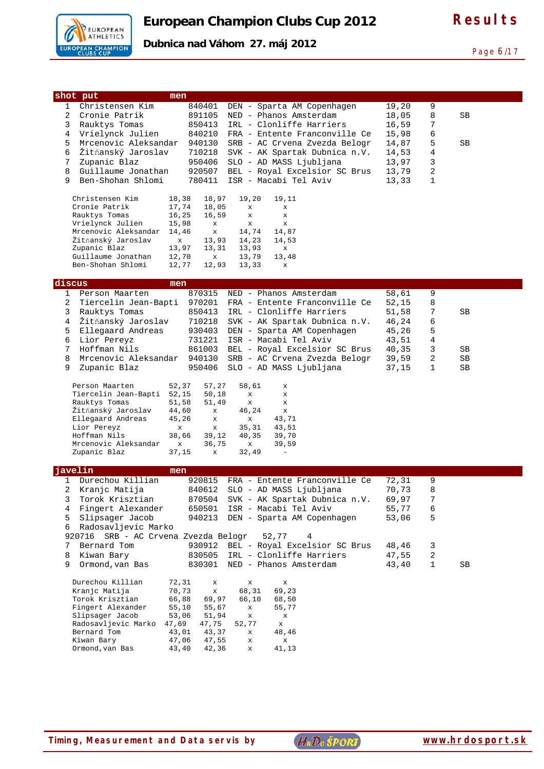

Page 6/17

| Dubnica nad Váhom 27. máj 2012 |  |
|--------------------------------|--|
|--------------------------------|--|

|                     | shot put                                                      | men                  |                                           |                                                          |                |                   |          |
|---------------------|---------------------------------------------------------------|----------------------|-------------------------------------------|----------------------------------------------------------|----------------|-------------------|----------|
| 1<br>2              | Christensen Kim                                               | 840401               |                                           | DEN - Sparta AM Copenhagen                               | 19,20          | 9                 |          |
| 3                   | Cronie Patrik<br>Rauktys Tomas                                | 891105<br>850413     |                                           | NED - Phanos Amsterdam<br>IRL - Clonliffe Harriers       | 18,05<br>16,59 | 8<br>7            | SВ       |
| 4                   | Vrielynck Julien                                              | 840210               |                                           | FRA - Entente Franconville Ce                            | 15,98          | 6                 |          |
| 5                   | Mrcenovic Aleksandar                                          | 940130               |                                           | SRB - AC Crvena Zvezda Belogr                            | 14,87          | 5                 | SВ       |
| 6                   | Žitňanský Jaroslav                                            | 710218               |                                           | SVK - AK Spartak Dubnica n.V.                            | 14,53          | 4                 |          |
| 7                   | Zupanic Blaz                                                  | 950406               |                                           | SLO - AD MASS Ljubljana                                  | 13,97          | 3                 |          |
| 8<br>9              | Guillaume Jonathan<br>Ben-Shohan Shlomi                       | 920507               |                                           | BEL - Royal Excelsior SC Brus<br>ISR - Macabi Tel Aviv   | 13,79          | 2<br>$\mathbf{1}$ |          |
|                     |                                                               | 780411               |                                           |                                                          | 13,33          |                   |          |
|                     | Christensen Kim                                               | 18,38                | 18,97<br>19,20                            | 19,11                                                    |                |                   |          |
|                     | Cronie Patrik                                                 | 17,74                | 18,05<br>$\mathbf x$                      | X                                                        |                |                   |          |
|                     | Rauktys Tomas<br>Vrielynck Julien                             | 16,25<br>15,98       | 16,59<br>$\mathbf x$<br>$\mathbf{x}$<br>x | $\mathbf{x}$<br>$\mathbf x$                              |                |                   |          |
|                     | Mrcenovic Aleksandar                                          | 14,46                | 14,74<br>x                                | 14,87                                                    |                |                   |          |
|                     | Žitňanský Jaroslav                                            | $\mathbf x$          | 13,93<br>14,23                            | 14,53                                                    |                |                   |          |
|                     | Zupanic Blaz<br>Guillaume Jonathan                            | 13,97<br>12,70       | 13,31<br>13,93<br>13,79<br>$\mathbf x$    | $\mathbf x$<br>13,48                                     |                |                   |          |
|                     | Ben-Shohan Shlomi                                             | 12,77                | 12,93<br>13,33                            | x                                                        |                |                   |          |
|                     |                                                               |                      |                                           |                                                          |                |                   |          |
| discus              |                                                               | men                  |                                           |                                                          |                |                   |          |
| 1<br>$\overline{a}$ | Person Maarten<br>Tiercelin Jean-Bapti                        | 870315<br>970201     |                                           | NED - Phanos Amsterdam<br>FRA - Entente Franconville Ce  | 58,61<br>52,15 | 9<br>8            |          |
| 3                   | Rauktys Tomas                                                 | 850413               |                                           | IRL - Clonliffe Harriers                                 | 51,58          | 7                 | SВ       |
| 4                   | Žitňanský Jaroslav                                            | 710218               |                                           | SVK - AK Spartak Dubnica n.V.                            | 46,24          | 6                 |          |
| 5                   | Ellegaard Andreas                                             | 930403               |                                           | DEN - Sparta AM Copenhagen                               | 45,26          | 5                 |          |
| 6                   | Lior Pereyz                                                   | 731221               |                                           | ISR - Macabi Tel Aviv                                    | 43,51          | 4                 |          |
| 7                   | Hoffman Nils                                                  | 861003               |                                           | BEL - Royal Excelsior SC Brus                            | 40,35          | 3                 | SВ       |
| 8<br>9              | Mrcenovic Aleksandar<br>Zupanic Blaz                          | 940130<br>950406     |                                           | SRB - AC Crvena Zvezda Belogr<br>SLO - AD MASS Ljubljana | 39,59<br>37,15 | 2<br>1            | SB<br>SB |
|                     |                                                               |                      |                                           |                                                          |                |                   |          |
|                     | Person Maarten                                                | 52,37                | 57,27<br>58,61                            | x                                                        |                |                   |          |
|                     | Tiercelin Jean-Bapti<br>Rauktys Tomas                         | 52,15<br>51,58       | 50,18<br>$\mathbf x$<br>51,49<br>x        | x<br>$\mathbf x$                                         |                |                   |          |
|                     | Žitňanský Jaroslav                                            | 44,60                | 46,24<br>x                                | x                                                        |                |                   |          |
|                     | Ellegaard Andreas                                             | 45,26                | x<br>x                                    | 43,71                                                    |                |                   |          |
|                     | Lior Pereyz<br>Hoffman Nils                                   | $\mathbf x$<br>38,66 | 35,31<br>x<br>40,35<br>39,12              | 43,51<br>39,70                                           |                |                   |          |
|                     | Mrcenovic Aleksandar                                          | $\mathbf x$          | 36,75<br>$\mathbf x$                      | 39,59                                                    |                |                   |          |
|                     | Zupanic Blaz                                                  | 37,15                | 32,49<br>x                                | $\overline{\phantom{a}}$                                 |                |                   |          |
| javelin             |                                                               | men                  |                                           |                                                          |                |                   |          |
| 1                   | Durechou Killian                                              | 920815               |                                           | FRA - Entente Franconville Ce                            | 72,31          | 9                 |          |
|                     | 2 Kranjc Matija                                               |                      |                                           | 840612 SLO - AD MASS Ljubljana                           | 70,73          | 8                 |          |
| 3                   | Torok Krisztian                                               | 870504               |                                           | SVK - AK Spartak Dubnica n.V.                            | 69,97          | 7                 |          |
| 4                   | Fingert Alexander                                             | 650501               |                                           | ISR - Macabi Tel Aviv                                    | 55,77          | 6                 |          |
| 5                   | Slipsager Jacob                                               | 940213               |                                           | DEN - Sparta AM Copenhagen                               | 53,06          | 5                 |          |
|                     | 6 Radosavljevic Marko<br>920716 SRB - AC Crvena Zvezda Belogr |                      |                                           | 52,77<br>4                                               |                |                   |          |
| 7                   | Bernard Tom                                                   |                      |                                           | 930912 BEL - Royal Excelsior SC Brus                     | 48,46          | 3                 |          |
| 8                   | Kiwan Bary                                                    | 830505               |                                           | IRL - Clonliffe Harriers                                 | 47,55          | 2                 |          |
| 9                   | Ormond, van Bas                                               |                      |                                           | 830301 NED - Phanos Amsterdam                            | 43,40          | 1                 | SB       |
|                     | Durechou Killian                                              | 72,31                | x<br>$\mathbf x$                          | x                                                        |                |                   |          |
|                     | Kranjc Matija                                                 | 70,73                | 68,31<br>$\mathbf x$                      | 69,23                                                    |                |                   |          |
|                     | Torok Krisztian                                               | 66,88                | 69,97<br>66,10                            | 68,50                                                    |                |                   |          |
|                     | Fingert Alexander<br>Slipsager Jacob                          | 55,10<br>53,06       | 55,67<br>x<br>51,94<br>X                  | 55,77<br>$\mathbf x$                                     |                |                   |          |
|                     | Radosavljevic Marko                                           | 47,69                | 47,75<br>52,77                            | x                                                        |                |                   |          |
|                     | Bernard Tom                                                   | 43,01                | 43,37<br>x                                | 48,46                                                    |                |                   |          |
|                     | Kiwan Bary<br>Ormond, van Bas                                 | 47,06<br>43,40       | 47,55<br>x<br>42,36<br>$\mathbf x$        | x<br>41,13                                               |                |                   |          |
|                     |                                                               |                      |                                           |                                                          |                |                   |          |
|                     |                                                               |                      |                                           |                                                          |                |                   |          |
|                     |                                                               |                      |                                           |                                                          |                |                   |          |
|                     |                                                               |                      |                                           |                                                          |                |                   |          |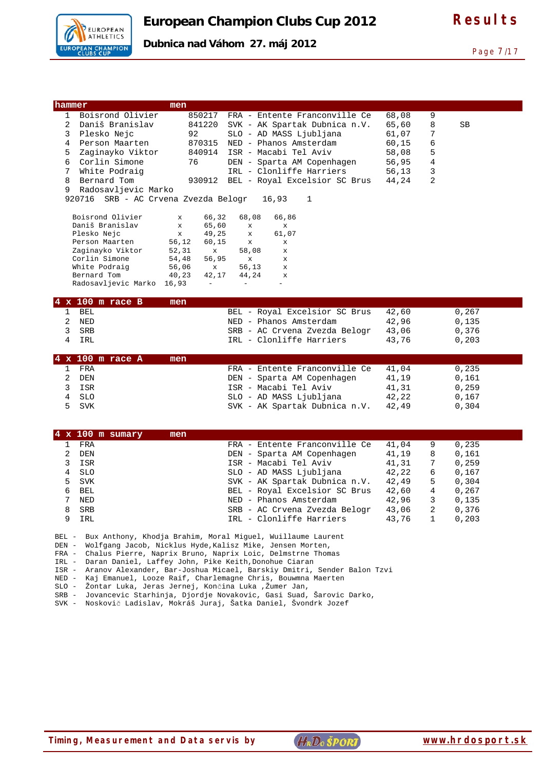

| hammer, |                                               | men          |              |              |                               |       |   |     |  |
|---------|-----------------------------------------------|--------------|--------------|--------------|-------------------------------|-------|---|-----|--|
|         | 1 Boisrond Olivier                            |              | 850217       |              | FRA - Entente Franconville Ce | 68,08 | 9 |     |  |
| 2.      | Daniš Branislav                               |              | 841220       |              | SVK - AK Spartak Dubnica n.V. | 65,60 | 8 | SB. |  |
| 3       | Plesko Nejc                                   |              | 92 — 10      |              | SLO - AD MASS Ljubljana       | 61,07 | 7 |     |  |
| 4       | Person Maarten                                |              | 870315       |              | NED - Phanos Amsterdam        | 60,15 | 6 |     |  |
| 5.      | Zaginayko Viktor                              | 840914       |              |              | ISR - Macabi Tel Aviv         | 58,08 | 5 |     |  |
| 6       | Corlin Simone                                 | 76           |              |              | DEN - Sparta AM Copenhagen    | 56,95 | 4 |     |  |
| 7       | White Podraig                                 |              |              |              | IRL - Clonliffe Harriers      | 56,13 | 3 |     |  |
| 8       | Bernard Tom                                   |              | 930912       |              | BEL - Royal Excelsior SC Brus | 44,24 | 2 |     |  |
| 9       | Radosavljevic Marko                           |              |              |              |                               |       |   |     |  |
|         | 920716  SRB - AC Crvena Zvezda Belogr   16,93 |              |              |              | 1                             |       |   |     |  |
|         |                                               |              |              |              |                               |       |   |     |  |
|         | Boisrond Olivier                              | $\mathbf x$  | 66,32        | 68,08        | 66,86                         |       |   |     |  |
|         | Daniš Branislav                               | $\mathbf x$  |              | 65,60 x      | $\mathbf{x}$                  |       |   |     |  |
|         | Plesko Nejc                                   | $\mathbf{x}$ |              | 49,25 x      | 61,07                         |       |   |     |  |
|         | Person Maarten                                | 56,12        | 60,15        | $\mathbf{x}$ | $\mathbf{x}$                  |       |   |     |  |
|         | Zaginayko Viktor                              | 52,31        | $\mathbf{x}$ | 58,08        | $\mathbf{x}$                  |       |   |     |  |
|         | Corlin Simone                                 | 54,48        | 56,95        | $\mathbf{x}$ | $\mathbf{x}$                  |       |   |     |  |
|         | White Podraig                                 | 56,06        | $\mathbf{x}$ | 56,13        | $\mathbf{x}$                  |       |   |     |  |
|         | Bernard Tom                                   | 40,23        | 42,17        | 44,24        | $\mathbf{x}$                  |       |   |     |  |
|         | Radosavljevic Marko                           | 16,93        | $\sim$       |              |                               |       |   |     |  |

| $4 \times 100$ m race B | men                           |       |       |
|-------------------------|-------------------------------|-------|-------|
| 1 BEL                   | BEL - Royal Excelsior SC Brus | 42,60 | 0.267 |
| 2 NED                   | NED - Phanos Amsterdam        | 42.96 | 0,135 |
| 3 SRB                   | SRB - AC Crvena Zvezda Belogr | 43.06 | 0.376 |
| TRT.                    | IRL - Clonliffe Harriers      | 43.76 | 0.203 |

| $4 \times 100$ m race A<br>men |                               |       |       |
|--------------------------------|-------------------------------|-------|-------|
| FRA                            | FRA - Entente Franconville Ce | 41.04 | 0.235 |
| DEN                            | DEN - Sparta AM Copenhagen    | 41.19 | 0,161 |
| ISR                            | ISR - Macabi Tel Aviv         | 41.31 | 0,259 |
| 4 SLO                          | SLO - AD MASS Ljubljana       | 42,22 | 0,167 |
| 5 SVK                          | SVK - AK Spartak Dubnica n.V. | 42,49 | 0,304 |

|    | $4 \times 100$ m sumary | men |                               |       |    |       |
|----|-------------------------|-----|-------------------------------|-------|----|-------|
|    | FRA                     |     | FRA - Entente Franconville Ce | 41.04 | 9  | 0,235 |
|    | DEN                     |     | DEN - Sparta AM Copenhagen    | 41,19 | 8  | 0.161 |
|    | ISR                     |     | ISR - Macabi Tel Aviv         | 41,31 |    | 0,259 |
| 4  | <b>SLO</b>              |     | SLO - AD MASS Ljubljana       | 42,22 | 6  | 0.167 |
| 5. | SVK                     |     | SVK - AK Spartak Dubnica n.V. | 42,49 | 5  | 0,304 |
| 6  | BEL                     |     | BEL - Royal Excelsior SC Brus | 42,60 | 4  | 0.267 |
|    | <b>NED</b>              |     | NED - Phanos Amsterdam        | 42,96 | 3  | 0.135 |
| 8  | <b>SRB</b>              |     | SRB - AC Crvena Zvezda Belogr | 43,06 | -2 | 0,376 |
| 9  | IRL                     |     | IRL - Clonliffe Harriers      | 43,76 |    | 0,203 |

BEL - Bux Anthony, Khodja Brahim, Moral Miguel, Wuillaume Laurent

DEN - Wolfgang Jacob, Nicklus Hyde,Kalisz Mike, Jensen Morten,

FRA - Chalus Pierre, Naprix Bruno, Naprix Loic, Delmstrne Thomas

IRL - Daran Daniel, Laffey John, Pike Keith,Donohue Ciaran

ISR - Aranov Alexander, Bar-Joshua Micael, Barskiy Dmitri, Sender Balon Tzvi

NED - Kaj Emanuel, Looze Raif, Charlemagne Chris, Bouwmna Maerten

SLO - Žontar Luka, Jeras Jernej, Končina Luka ,Žumer Jan,

SRB - Jovancevic Starhinja, Djordje Novakovic, Gasi Suad, Šarovic Darko,

SVK - Noskovič Ladislav, Mokráš Juraj, Šatka Daniel, Švondrk Jozef

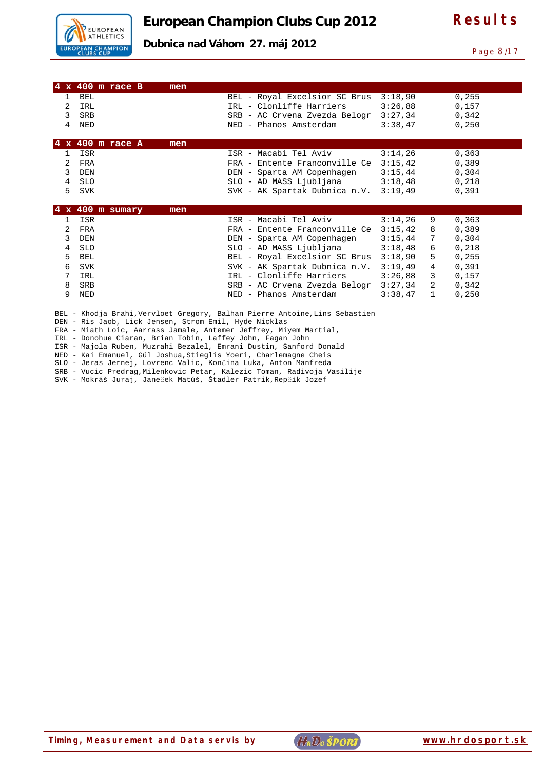

**Dubnica nad Váhom 27. máj 2012** 

Page 8/17

|            | $4 \times 400$ m race B | men |                               |         |              |        |
|------------|-------------------------|-----|-------------------------------|---------|--------------|--------|
| 1          | <b>BEL</b>              |     | BEL - Royal Excelsior SC Brus | 3:18,90 |              | 0, 255 |
| 2          | IRL                     |     | IRL - Clonliffe Harriers      | 3:26,88 |              | 0,157  |
| 3          | <b>SRB</b>              |     | SRB - AC Crvena Zvezda Belogr | 3:27,34 |              | 0,342  |
|            |                         |     |                               |         |              |        |
| 4          | NED                     |     | - Phanos Amsterdam<br>NED     | 3:38,47 |              | 0,250  |
|            |                         |     |                               |         |              |        |
|            | $4 \times 400$ m race A | men |                               |         |              |        |
|            | ISR                     |     | ISR - Macabi Tel Aviv         | 3:14,26 |              | 0, 363 |
| 2          | FRA                     |     | FRA - Entente Franconville Ce | 3:15,42 |              | 0,389  |
| 3          | <b>DEN</b>              |     | DEN - Sparta AM Copenhagen    | 3:15,44 |              | 0,304  |
| 4          | <b>SLO</b>              |     | SLO - AD MASS Ljubljana       | 3:18,48 |              | 0,218  |
| 5          | SVK                     |     | SVK - AK Spartak Dubnica n.V. | 3:19,49 |              | 0,391  |
|            |                         |     |                               |         |              |        |
| $4 \times$ | 400 m sumary            | men |                               |         |              |        |
|            | ISR                     |     | ISR - Macabi Tel Aviv         | 3:14,26 | 9            | 0, 363 |
| 2          | FRA                     |     | FRA - Entente Franconville Ce | 3:15,42 | 8            | 0,389  |
| 3          | <b>DEN</b>              |     | DEN - Sparta AM Copenhagen    | 3:15,44 | 7            | 0,304  |
| 4          | <b>SLO</b>              |     | SLO - AD MASS Ljubljana       | 3:18,48 | 6            | 0,218  |
| 5          | <b>BEL</b>              |     | BEL - Royal Excelsior SC Brus | 3:18,90 | 5            | 0,255  |
| 6          | <b>SVK</b>              |     | SVK - AK Spartak Dubnica n.V. | 3:19,49 | 4            | 0,391  |
| 7          | IRL                     |     | IRL - Clonliffe Harriers      | 3:26,88 | 3            | 0,157  |
| 8          | <b>SRB</b>              |     | SRB - AC Crvena Zvezda Belogr | 3:27,34 | 2            | 0,342  |
| 9          | NED                     |     | NED - Phanos Amsterdam        | 3:38,47 | $\mathbf{1}$ | 0,250  |

BEL - Khodja Brahi, Vervloet Gregory, Balhan Pierre Antoine, Lins Sebastien

DEN - Ris Jaob, Lick Jensen, Strom Emil, Hyde Nicklas

FRA - Miath Loic, Aarrass Jamale, Antemer Jeffrey, Miyem Martial,

IRL - Donohue Ciaran, Brian Tobin, Laffey John, Fagan John

ISR - Majola Ruben, Muzrahi Bezalel, Emrani Dustin, Sanford Donald NED - Kai Emanuel, Gúl Joshua,Stieglis Yoeri, Charlemagne Cheis

SLO - Jeras Jernej, Lovrenc Valic, Končina Luka, Anton Manfreda

SRB - Vucic Predrag,Milenkovic Petar, Kalezic Toman, Radivoja Vasilije

SVK - Mokráš Juraj, Janeček Matúš, Štadler Patrik,Repčík Jozef

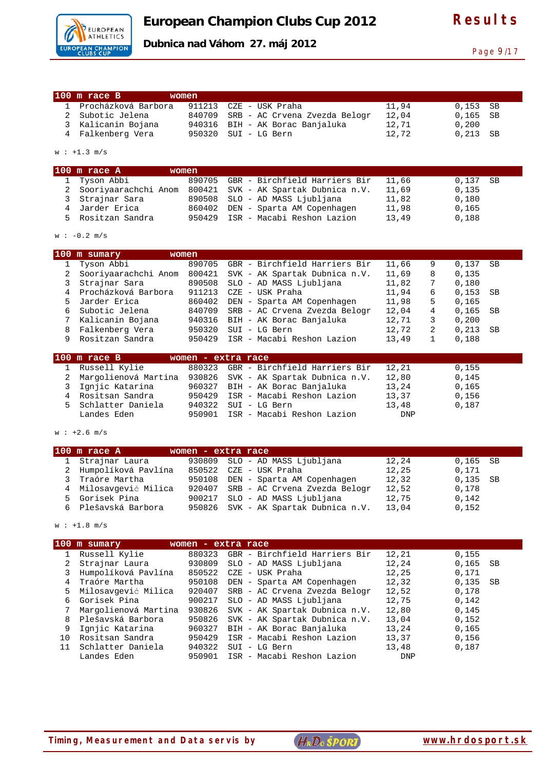

**Dubnica nad Váhom 27. máj 2012** 

Page 9/17

|                | $100$ m race B              | women  |                               |            |              |       |           |
|----------------|-----------------------------|--------|-------------------------------|------------|--------------|-------|-----------|
| $\mathbf{1}$   | Procházková Barbora         | 911213 | CZE - USK Praha               | 11,94      |              | 0,153 | SB        |
| $\overline{2}$ | Subotic Jelena              | 840709 | SRB - AC Crvena Zvezda Belogr | 12,04      |              | 0,165 | <b>SB</b> |
| 3              | Kalicanin Bojana            | 940316 | BIH - AK Borac Banjaluka      | 12,71      |              | 0,200 |           |
| 4              | Falkenberg Vera             | 950320 | SUI - LG Bern                 | 12,72      |              | 0,213 | <b>SB</b> |
|                |                             |        |                               |            |              |       |           |
|                | $w : +1.3 m/s$              |        |                               |            |              |       |           |
|                | $100$ m race A              | women  |                               |            |              |       |           |
| $\mathbf{1}$   | Tyson Abbi                  | 890705 | GBR - Birchfield Harriers Bir | 11,66      |              | 0,137 | <b>SB</b> |
| $\overline{a}$ | Sooriyaarachchi Anom 800421 |        | SVK - AK Spartak Dubnica n.V. | 11,69      |              | 0,135 |           |
| 3              | Strajnar Sara               | 890508 | SLO - AD MASS Ljubljana       | 11,82      |              | 0,180 |           |
| $\overline{4}$ | Jarder Erica                | 860402 | DEN - Sparta AM Copenhagen    | 11,98      |              | 0,165 |           |
| 5              | Rositzan Sandra             | 950429 | ISR - Macabi Reshon Lazion    | 13,49      |              | 0,188 |           |
|                | $w : -0.2 m/s$              |        |                               |            |              |       |           |
|                | 100 m sumary                | women  |                               |            |              |       |           |
| $\mathbf{1}$   | Tyson Abbi                  | 890705 | GBR - Birchfield Harriers Bir | 11,66      | 9            | 0,137 | SB        |
| $\overline{a}$ | Sooriyaarachchi Anom 800421 |        | SVK - AK Spartak Dubnica n.V. | 11,69      | 8            | 0,135 |           |
| 3              | Strajnar Sara               | 890508 | SLO - AD MASS Ljubljana       | 11,82      | 7            | 0,180 |           |
| 4              | Procházková Barbora         | 911213 | CZE - USK Praha               | 11,94      | 6            | 0,153 | SB        |
| 5              | Jarder Erica                | 860402 | DEN - Sparta AM Copenhagen    | 11,98      | 5            | 0,165 |           |
| 6              | Subotic Jelena              | 840709 | SRB - AC Crvena Zvezda Belogr | 12,04      | 4            | 0,165 | SB        |
| 7              | Kalicanin Bojana            | 940316 | BIH - AK Borac Banjaluka      | 12,71      | 3            | 0,200 |           |
| 8              | Falkenberg Vera             | 950320 | SUI - LG Bern                 | 12,72      | 2            | 0,213 | SB        |
| 9              | Rositzan Sandra             | 950429 | ISR - Macabi Reshon Lazion    | 13,49      | $\mathbf{1}$ | 0,188 |           |
|                | $100$ m race B              |        | women - extra race            |            |              |       |           |
| $\mathbf{1}$   | Russell Kylie               | 880323 | GBR - Birchfield Harriers Bir | 12,21      |              | 0,155 |           |
| 2              | Margolienová Martina 930826 |        | SVK - AK Spartak Dubnica n.V. | 12,80      |              | 0,145 |           |
| 3              | Ignjic Katarina             | 960327 | BIH - AK Borac Banjaluka      | 13,24      |              | 0,165 |           |
|                | 4 Rositsan Sandra           | 950429 | ISR - Macabi Reshon Lazion    | 13,37      |              | 0,156 |           |
| 5              | Schlatter Daniela           | 940322 | SUI - LG Bern                 | 13,48      |              | 0,187 |           |
|                | Landes Eden                 | 950901 | ISR - Macabi Reshon Lazion    | <b>DNP</b> |              |       |           |
|                | $w : +2.6 m/s$              |        |                               |            |              |       |           |
|                |                             |        |                               |            |              |       |           |
|                | $100$ m race A              |        | women - extra race            |            |              |       |           |

| 1 Strajnar Laura      | 930809 SLO - AD MASS Ljubljana       | 12,24 | $0,165$ SB |  |
|-----------------------|--------------------------------------|-------|------------|--|
| 2 Humpolíková Pavlína | 850522 CZE - USK Praha               | 12,25 | 0.171      |  |
| 3 Traóre Martha       | 950108 DEN - Sparta AM Copenhagen    | 12,32 | $0,135$ SB |  |
| 4 Milosavqević Milica | 920407 SRB - AC Crvena Zvezda Belogr | 12,52 | 0,178      |  |
| 5 Gorisek Pina        | 900217 SLO - AD MASS Ljubljana       | 12,75 | 0,142      |  |
| 6 Plešavská Barbora   | 950826 SVK - AK Spartak Dubnica n.V. | 13,04 | 0,152      |  |
|                       |                                      |       |            |  |

 $w : +1.8 m/s$ 

| 0,155         |
|---------------|
|               |
| 0,165<br>- SB |
| 0,171         |
| $0,135$ SB    |
| 0,178         |
| 0,142         |
| 0,145         |
| 0,152         |
| 0,165         |
| 0,156         |
| 0,187         |
|               |
|               |

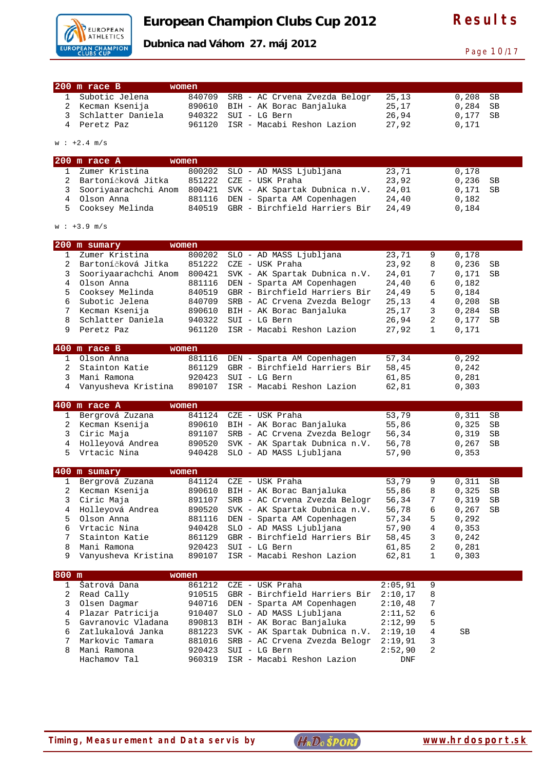

**Dubnica nad Váhom 27. máj 2012** 

Page 10/17

|                     | 200 m race B                        | women            |                                                                |                |              |                |           |
|---------------------|-------------------------------------|------------------|----------------------------------------------------------------|----------------|--------------|----------------|-----------|
| 1                   | Subotic Jelena                      | 840709           | SRB - AC Crvena Zvezda Belogr                                  | 25,13          |              | 0,208          | SB        |
| $\overline{2}$      | Kecman Ksenija                      | 890610           | BIH - AK Borac Banjaluka                                       | 25,17          |              | 0,284          | SB        |
| 3                   | Schlatter Daniela                   | 940322           | SUI - LG Bern                                                  | 26,94          |              | 0,177          | <b>SB</b> |
| 4                   | Peretz Paz                          | 961120           | ISR - Macabi Reshon Lazion                                     | 27,92          |              | 0,171          |           |
|                     |                                     |                  |                                                                |                |              |                |           |
|                     | $w : +2.4 m/s$                      |                  |                                                                |                |              |                |           |
|                     | $200$ m race A                      | women            |                                                                |                |              |                |           |
| 1                   | Zumer Kristina                      | 800202           | SLO - AD MASS Ljubljana                                        | 23,71          |              | 0,178          |           |
| $\overline{2}$      | Bartoníčková Jitka                  | 851222           | CZE - USK Praha                                                | 23,92          |              | 0,236          | SB        |
| 3                   | Sooriyaarachchi Anom                | 800421           | SVK - AK Spartak Dubnica n.V.                                  | 24,01          |              | 0,171          | SВ        |
| $\overline{4}$<br>5 | Olson Anna                          | 881116           | DEN - Sparta AM Copenhagen<br>GBR - Birchfield Harriers Bir    | 24,40          |              | 0,182          |           |
|                     | Cooksey Melinda                     | 840519           |                                                                | 24,49          |              | 0,184          |           |
|                     | $w : +3.9 m/s$                      |                  |                                                                |                |              |                |           |
|                     | 200 m sumary                        | women            |                                                                |                |              |                |           |
| 1                   | Zumer Kristina                      | 800202           | SLO - AD MASS Ljubljana                                        | 23,71          | 9            | 0,178          |           |
| 2                   | Bartoníčková Jitka                  | 851222           | CZE - USK Praha                                                | 23,92          | 8            | 0,236          | SВ        |
| 3                   | Sooriyaarachchi Anom                | 800421           | SVK - AK Spartak Dubnica n.V.                                  | 24,01          | 7            | 0,171          | SВ        |
| 4                   | Olson Anna                          | 881116           | DEN - Sparta AM Copenhagen                                     | 24,40          | 6            | 0,182          |           |
| 5                   | Cooksey Melinda                     | 840519           | GBR - Birchfield Harriers Bir                                  | 24,49          | 5            | 0,184          |           |
| 6                   | Subotic Jelena                      | 840709           | SRB - AC Crvena Zvezda Belogr                                  | 25,13          | 4            | 0,208          | SВ        |
| 7<br>8              | Kecman Ksenija<br>Schlatter Daniela | 890610<br>940322 | BIH - AK Borac Banjaluka<br>SUI - LG Bern                      | 25,17<br>26,94 | 3<br>2       | 0,284<br>0,177 | SВ<br>SB  |
| 9                   | Peretz Paz                          | 961120           | ISR - Macabi Reshon Lazion                                     | 27,92          | $\mathbf{1}$ | 0,171          |           |
|                     |                                     |                  |                                                                |                |              |                |           |
|                     | 400 m race B                        | women            |                                                                |                |              |                |           |
| $\mathbf{1}$        | Olson Anna                          | 881116           | DEN - Sparta AM Copenhagen                                     | 57,34          |              | 0,292          |           |
| $\overline{2}$<br>3 | Stainton Katie<br>Mani Ramona       | 861129<br>920423 | GBR - Birchfield Harriers Bir<br>SUI - LG Bern                 | 58,45<br>61,85 |              | 0,242<br>0,281 |           |
| 4                   | Vanyusheva Kristina                 | 890107           | ISR - Macabi Reshon Lazion                                     | 62,81          |              | 0,303          |           |
|                     |                                     |                  |                                                                |                |              |                |           |
|                     |                                     |                  |                                                                |                |              |                |           |
|                     | 400 m race A                        | women            |                                                                |                |              |                |           |
| 1                   | Bergrová Zuzana                     | 841124           | CZE - USK Praha                                                | 53,79          |              | 0,311          | <b>SB</b> |
| 2                   | Kecman Ksenija                      | 890610           | BIH - AK Borac Banjaluka                                       | 55,86          |              | 0,325          | SB        |
| 3                   | Ciric Maja                          | 891107           | SRB - AC Crvena Zvezda Belogr                                  | 56,34          |              | 0,319          | SВ        |
| 4<br>5              | Holleyová Andrea<br>Vrtacic Nina    | 890520<br>940428 | SVK - AK Spartak Dubnica n.V.                                  | 56,78          |              | 0,267<br>0,353 | SВ        |
|                     |                                     |                  | SLO - AD MASS Ljubljana                                        | 57,90          |              |                |           |
|                     | 400 m sumary                        | women            |                                                                |                |              |                |           |
| 1                   | Bergrová Zuzana                     | 841124           | CZE - USK Praha                                                | 53,79          | 9            | 0,311          | SB        |
| 2<br>3              | Kecman Ksenija                      | 890610           | BIH - AK Borac Banjaluka                                       | 55,86          | 8<br>7       | 0,325          | SB        |
| 4                   | Ciric Maja<br>Holleyová Andrea      | 891107<br>890520 | SRB - AC Crvena Zvezda Belogr<br>SVK - AK Spartak Dubnica n.V. | 56,34<br>56,78 | 6            | 0,319          | SВ<br>SB  |
| 5                   | Olson Anna                          | 881116           | DEN - Sparta AM Copenhagen                                     | 57,34          | 5            | 0,267<br>0,292 |           |
| 6                   | Vrtacic Nina                        | 940428           | SLO - AD MASS Ljubljana                                        | 57,90          | 4            | 0, 353         |           |
| 7                   | Stainton Katie                      | 861129           | GBR - Birchfield Harriers Bir                                  | 58,45          | 3            | 0,242          |           |
| 8                   | Mani Ramona                         | 920423           | SUI - LG Bern                                                  | 61,85          | 2            | 0,281          |           |
| 9                   | Vanyusheva Kristina                 | 890107           | ISR - Macabi Reshon Lazion                                     | 62,81          | 1            | 0,303          |           |
| 800 m               |                                     | women            |                                                                |                |              |                |           |
| $\mathbf{1}$        | Šatrová Dana                        | 861212           | CZE - USK Praha                                                | 2:05,91        | 9            |                |           |
| 2                   | Read Cally                          | 910515           | GBR - Birchfield Harriers Bir                                  | 2:10,17        | 8            |                |           |
| 3                   | Olsen Dagmar                        | 940716           | DEN - Sparta AM Copenhagen                                     | 2:10,48        | 7            |                |           |
| 4                   | Plazar Patricija                    | 910407           | SLO - AD MASS Ljubljana                                        | 2:11,52        | 6            |                |           |
| 5                   | Gavranovic Vladana                  | 890813           | BIH - AK Borac Banjaluka                                       | 2:12,99        | 5            |                |           |
| 6                   | Zatlukalová Janka                   | 881223           | SVK - AK Spartak Dubnica n.V.                                  | 2:19,10        | 4            | SB             |           |
| 7                   | Markovic Tamara                     | 881016           | SRB - AC Crvena Zvezda Belogr                                  | 2:19,91        | 3            |                |           |
| 8                   | Mani Ramona<br>Hachamov Tal         | 920423<br>960319 | SUI - LG Bern<br>ISR - Macabi Reshon Lazion                    | 2:52,90<br>DNF | 2            |                |           |

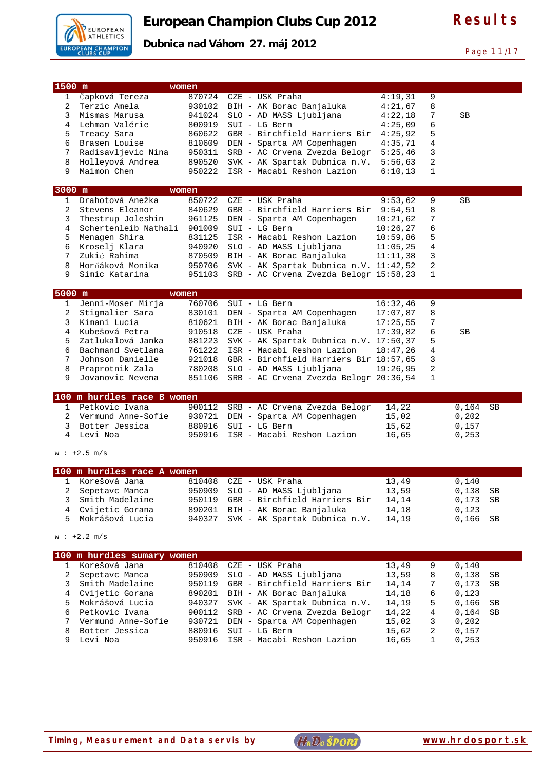

Page 11/17

| 1500 m         |                                     | women  |                                        |          |   |             |
|----------------|-------------------------------------|--------|----------------------------------------|----------|---|-------------|
| $\mathbf{1}$   | Čapková Tereza                      | 870724 | CZE - USK Praha                        | 4:19,31  | 9 |             |
| $\overline{2}$ | Terzic Amela                        |        | 930102 BIH - AK Borac Banjaluka        | 4:21,67  | 8 |             |
| 3              | Mismas Marusa                       | 941024 | SLO - AD MASS Ljubljana                | 4:22,18  | 7 | SB          |
| 4              | Lehman Valérie                      | 800919 | SUI - LG Bern                          | 4:25,09  | 6 |             |
| 5              | Treacy Sara                         | 860622 | GBR - Birchfield Harriers Bir          | 4:25,92  | 5 |             |
| 6              | Brasen Louise                       | 810609 | DEN - Sparta AM Copenhagen             | 4:35,71  | 4 |             |
| 7              | Radisavljevic Nina                  | 950311 | SRB - AC Crvena Zvezda Belogr          | 5:25,46  | 3 |             |
| 8              | Holleyová Andrea                    | 890520 | SVK - AK Spartak Dubnica n.V.          | 5:56,63  | 2 |             |
| 9              | Maimon Chen                         | 950222 | ISR - Macabi Reshon Lazion             | 6:10,13  | 1 |             |
| 3000 m         |                                     | women  |                                        |          |   |             |
| $\mathbf{1}$   | Drahotová Anežka                    | 850722 | CZE - USK Praha                        | 9:53,62  | 9 | SB          |
| 2              | Stevens Eleanor                     | 840629 | GBR - Birchfield Harriers Bir          | 9:54,51  | 8 |             |
| 3              | Thestrup Joleshin                   | 961125 | DEN - Sparta AM Copenhagen             | 10:21,62 | 7 |             |
| 4              | Schertenleib Nathali                | 901009 | SUI - LG Bern                          | 10:26,27 | 6 |             |
| 5              | Menagen Shira                       | 831125 | ISR - Macabi Reshon Lazion             | 10:59,86 | 5 |             |
| 6              | Kroselj Klara                       | 940920 | SLO - AD MASS Ljubljana                | 11:05,25 | 4 |             |
| 7              | Zukić Rahima                        | 870509 | BIH - AK Borac Banjaluka               | 11:11,38 | 3 |             |
| 8              | Horňáková Monika                    | 950706 | SVK - AK Spartak Dubnica n.V. 11:42,52 |          | 2 |             |
| 9              | Simic Katarina                      | 951103 | SRB - AC Crvena Zvezda Belogr 15:58,23 |          | 1 |             |
|                |                                     |        |                                        |          |   |             |
| 5000 m         |                                     | women  |                                        |          |   |             |
| $\mathbf{1}$   | Jenni-Moser Mirja                   | 760706 | SUI - LG Bern                          | 16:32,46 | 9 |             |
| 2              | Stigmalier Sara                     | 830101 | DEN - Sparta AM Copenhagen             | 17:07,87 | 8 |             |
| 3              | Kimani Lucia                        | 810621 | BIH - AK Borac Banjaluka               | 17:25,55 | 7 |             |
| 4              | Kubešová Petra                      | 910518 | CZE - USK Praha                        | 17:39,82 | б | SB          |
| 5              | Zatlukalová Janka                   | 881223 | SVK - AK Spartak Dubnica n.V.          | 17:50,37 | 5 |             |
| 6              | Bachmand Svetlana                   | 761222 | ISR - Macabi Reshon Lazion             | 18:47,26 | 4 |             |
| 7              | Johnson Danielle                    | 921018 | GBR - Birchfield Harriers Bir 18:57,65 |          | 3 |             |
| 8              | Praprotnik Zala<br>Jovanovic Nevena | 780208 | SLO - AD MASS Ljubljana                | 19:26,95 | 2 |             |
| 9              |                                     | 851106 | SRB - AC Crvena Zvezda Belogr 20:36,54 |          | 1 |             |
|                | 100 m hurdles race B women          |        |                                        |          |   |             |
| 1              | Petkovic Ivana                      | 900112 | SRB - AC Crvena Zvezda Belogr          | 14,22    |   | 0,164<br>SB |
| 2              | Vermund Anne-Sofie                  | 930721 | DEN - Sparta AM Copenhagen             | 15,02    |   | 0,202       |
| 3              | Botter Jessica                      | 880916 | SUI - LG Bern                          | 15,62    |   | 0,157       |
| 4              | Levi Noa                            | 950916 | ISR - Macabi Reshon Lazion             | 16,65    |   | 0,253       |
|                | $w : +2.5 m/s$                      |        |                                        |          |   |             |
|                | 100 m hurdles race A women          |        |                                        |          |   |             |
| $\mathbf{1}$   | Korešová Jana                       | 810408 | CZE - USK Praha                        | 13,49    |   | 0,140       |
| 2              | Sepetavc Manca                      | 950909 | SLO - AD MASS Ljubljana                | 13,59    |   | 0,138<br>SB |
| 3              | Smith Madelaine                     | 950119 | GBR - Birchfield Harriers Bir          | 14,14    |   | 0,173<br>SВ |
| 4              | Cvijetic Gorana                     | 890201 | BIH - AK Borac Banjaluka               | 14,18    |   | 0,123       |
| 5              | Mokrášová Lucia                     | 940327 | SVK - AK Spartak Dubnica n.V.          | 14,19    |   | 0,166<br>SB |
|                |                                     |        |                                        |          |   |             |
|                | $w : +2.2 m/s$                      |        |                                        |          |   |             |
|                | 100 m hurdles sumary women          |        |                                        |          |   |             |
| 1              | Korešová Jana                       | 810408 | CZE - USK Praha                        | 13,49    | 9 | 0,140       |
| 2              | Sepetavc Manca                      | 950909 | SLO - AD MASS Ljubljana                | 13,59    | 8 | 0,138<br>SВ |
| 3              | Smith Madelaine                     | 950119 | GBR - Birchfield Harriers Bir          | 14,14    | 7 | 0,173<br>SB |
| 4              | Cvijetic Gorana                     | 890201 | BIH - AK Borac Banjaluka               | 14,18    | 6 | 0,123       |
| 5              | Mokrášová Lucia                     | 940327 | SVK - AK Spartak Dubnica n.V.          | 14,19    | 5 | 0,166<br>SB |
| 6              | Petkovic Ivana                      | 900112 | SRB - AC Crvena Zvezda Belogr          | 14,22    | 4 | 0,164<br>SB |
| 7              | Vermund Anne-Sofie                  | 930721 | DEN - Sparta AM Copenhagen             | 15,02    | 3 | 0,202       |
| 8              | Botter Jessica                      | 880916 | SUI - LG Bern                          | 15,62    | 2 | 0,157       |
| 9              | Levi Noa                            | 950916 | ISR - Macabi Reshon Lazion             | 16,65    | 1 | 0, 253      |
|                |                                     |        |                                        |          |   |             |

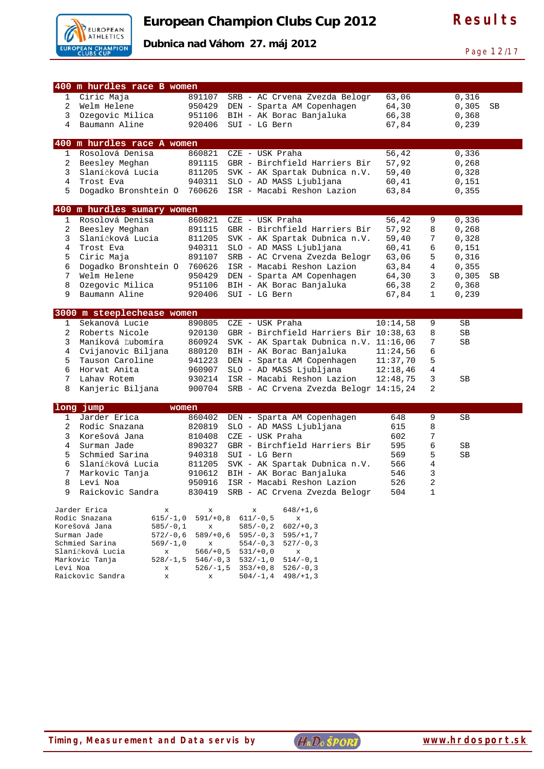

**Dubnica nad Váhom 27. máj 2012** 

Page 12/17

|                | 400 m hurdles race B women                            |                  |   |                                                                |                |        |                |    |
|----------------|-------------------------------------------------------|------------------|---|----------------------------------------------------------------|----------------|--------|----------------|----|
|                |                                                       |                  |   |                                                                |                |        |                |    |
| 1              | Ciric Maja                                            | 891107           |   | SRB - AC Crvena Zvezda Belogr                                  | 63,06          |        | 0,316          |    |
| $\overline{2}$ | Welm Helene                                           | 950429           |   | DEN - Sparta AM Copenhagen                                     | 64,30          |        | 0,305          | SB |
| 3              | Ozegovic Milica                                       | 951106           |   | BIH - AK Borac Banjaluka                                       | 66,38          |        | 0,368          |    |
| 4              | Baumann Aline                                         | 920406           |   | SUI - LG Bern                                                  | 67,84          |        | 0,239          |    |
|                | 400 m hurdles race A women                            |                  |   |                                                                |                |        |                |    |
| $\mathbf 1$    | Rosolová Denisa                                       | 860821           |   | CZE - USK Praha                                                | 56,42          |        | 0,336          |    |
| 2              | Beesley Meghan                                        | 891115           |   | GBR - Birchfield Harriers Bir                                  | 57,92          |        | 0,268          |    |
| 3              | Slaníčková Lucia                                      | 811205           |   | SVK - AK Spartak Dubnica n.V.                                  | 59,40          |        | 0,328          |    |
| 4              | Trost Eva                                             | 940311           |   | SLO - AD MASS Ljubljana                                        | 60,41          |        | 0,151          |    |
| 5              | Dogadko Bronshtein O                                  | 760626           |   | ISR - Macabi Reshon Lazion                                     | 63,84          |        | 0,355          |    |
|                | 400 m hurdles sumary women                            |                  |   |                                                                |                |        |                |    |
| $\mathbf 1$    | Rosolová Denisa                                       | 860821           |   | CZE - USK Praha                                                | 56,42          | 9      | 0,336          |    |
|                |                                                       |                  |   |                                                                |                |        |                |    |
| 2<br>3         | Beesley Meghan<br>Slaníčková Lucia                    | 891115<br>811205 |   | GBR - Birchfield Harriers Bir<br>SVK - AK Spartak Dubnica n.V. | 57,92<br>59,40 | 8<br>7 | 0,268<br>0,328 |    |
|                |                                                       |                  |   |                                                                |                |        |                |    |
| 4              | Trost Eva                                             | 940311           |   | SLO - AD MASS Ljubljana                                        | 60,41          | 6      | 0,151          |    |
| 5              | Ciric Maja                                            | 891107           |   | SRB - AC Crvena Zvezda Belogr                                  | 63,06          | 5      | 0,316          |    |
| 6              | Dogadko Bronshtein O                                  | 760626           |   | ISR - Macabi Reshon Lazion                                     | 63,84          | 4      | 0,355          |    |
| 7              | Welm Helene                                           | 950429           |   | DEN - Sparta AM Copenhagen                                     | 64,30          | 3      | 0,305          | SB |
| 8              | Ozegovic Milica                                       | 951106           |   | BIH - AK Borac Banjaluka                                       | 66,38          | 2      | 0, 368         |    |
| 9              | Baumann Aline                                         | 920406           |   | SUI - LG Bern                                                  | 67,84          | 1      | 0,239          |    |
|                | 3000 m steeplechease women                            |                  |   |                                                                |                |        |                |    |
| 1              | Sekanová Lucie                                        | 890805           |   | CZE - USK Praha                                                | 10:14,58       | 9      | SB             |    |
| 2              | Roberts Nicole                                        | 920130           |   | GBR - Birchfield Harriers Bir 10:38,63                         |                | 8      | SB             |    |
| 3              | Maníková Ľubomíra                                     | 860924           |   | SVK - AK Spartak Dubnica n.V. 11:16,06                         |                | 7      | SB             |    |
| 4              | Cvijanovic Biljana                                    | 880120           |   | BIH - AK Borac Banjaluka                                       | 11:24,56       | 6      |                |    |
| 5              | Tauson Caroline                                       | 941223           |   | DEN - Sparta AM Copenhagen                                     | 11:37,70       | 5      |                |    |
| 6              | Horvat Anita                                          | 960907           |   | SLO - AD MASS Ljubljana                                        | 12:18,46       | 4      |                |    |
| 7              | Lahav Rotem                                           | 930214           |   | ISR - Macabi Reshon Lazion                                     | 12:48,75       | 3      | SB             |    |
| 8              | Kanjeric Biljana                                      | 900704           |   | SRB - AC Crvena Zvezda Belogr 14:15,24                         |                | 2      |                |    |
|                |                                                       |                  |   |                                                                |                |        |                |    |
| $\mathbf{1}$   | long jump<br>women<br>Jarder Erica                    |                  |   |                                                                |                | 9      |                |    |
| 2              |                                                       | 860402           |   | DEN - Sparta AM Copenhagen                                     | 648            |        | SB             |    |
|                | Rodic Snazana                                         | 820819           |   | SLO - AD MASS Ljubljana                                        | 615            | 8      |                |    |
| 3              | Korešová Jana                                         | 810408           |   | CZE - USK Praha                                                | 602            | 7      |                |    |
| 4              | Surman Jade                                           | 890327           |   | GBR - Birchfield Harriers Bir                                  | 595            | б      | SB             |    |
| 5              | Schmied Sarina                                        | 940318           |   | SUI - LG Bern                                                  | 569            | 5      | SB             |    |
| 6              | Slaníčková Lucia                                      | 811205           |   | SVK - AK Spartak Dubnica n.V.                                  | 566            | 4      |                |    |
| 7              | Markovic Tanja                                        | 910612           |   | BIH - AK Borac Banjaluka                                       | 546            | 3      |                |    |
| 8              | Levi Noa                                              |                  |   | 950916 ISR - Macabi Reshon Lazion                              | 526            | 2      |                |    |
| 9              | Raickovic Sandra                                      |                  |   | 830419 SRB - AC Crvena Zvezda Belogr                           | 504            | 1      |                |    |
|                | Jarder Erica<br>x                                     | x                | х | $648/+1,6$                                                     |                |        |                |    |
|                | Rodic Snazana<br>615/-1,0                             | $591/+0,8$       |   | $611/-0,5$<br>x                                                |                |        |                |    |
|                | Korešová Jana<br>$585/-0,1$                           | x                |   | $602/+0,3$<br>$585/-0, 2$                                      |                |        |                |    |
|                | Surman Jade<br>$572/-0,6$                             | $589/+0,6$       |   | $595/-0,3$<br>$595/+1,7$                                       |                |        |                |    |
|                | Schmied Sarina<br>$569/-1,0$<br>Slaníčková Lucia<br>x | x<br>$566/+0,5$  |   | $554/-0,3$<br>$527/-0,3$<br>$531/+0,0$<br>x                    |                |        |                |    |
|                | Markovic Tanja<br>528/-1,5                            | $546/-0,3$       |   | $532/-1,0$<br>$514/-0,1$                                       |                |        |                |    |
| Levi Noa       | x                                                     | $526/-1,5$       |   | $353/+0,8$<br>$526/-0,3$                                       |                |        |                |    |
|                | Raickovic Sandra<br>x                                 | x                |   | $504/-1,4$<br>$498/ + 1, 3$                                    |                |        |                |    |
|                |                                                       |                  |   |                                                                |                |        |                |    |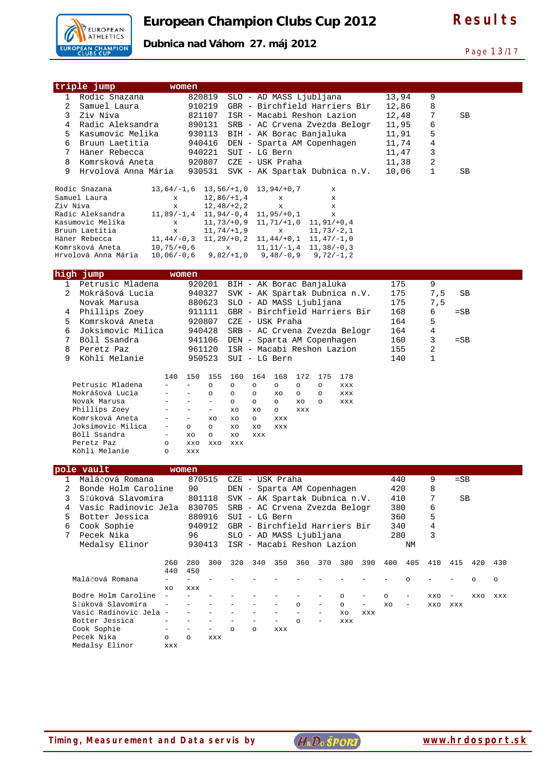

**Dubnica nad Váhom 27. máj 2012** 

Page 13/17

| triple jump                                   | women                    |                                      |                                              |                               |                          |                |                               |            |     |         |                          |        |        |         |     |
|-----------------------------------------------|--------------------------|--------------------------------------|----------------------------------------------|-------------------------------|--------------------------|----------------|-------------------------------|------------|-----|---------|--------------------------|--------|--------|---------|-----|
| Rodic Snazana<br>1                            |                          | 820819                               |                                              | SLO - AD MASS Ljubljana       |                          |                |                               |            |     | 13,94   |                          | 9      |        |         |     |
| 2<br>Samuel Laura                             |                          | 910219                               |                                              | GBR - Birchfield Harriers Bir |                          |                |                               |            |     | 12,86   |                          | 8      |        |         |     |
| 3<br>Ziv Niva                                 |                          | 821107                               |                                              | ISR - Macabi Reshon Lazion    |                          |                |                               |            |     | 12,48   |                          | 7      | SВ     |         |     |
| 4<br>Radic Aleksandra                         |                          | 890131                               |                                              | SRB - AC Crvena Zvezda Belogr |                          |                |                               |            |     | 11,95   |                          | 6      |        |         |     |
| Kasumovic Melika<br>5                         |                          | 930113                               |                                              | BIH - AK Borac Banjaluka      |                          |                |                               |            |     | 11,91   |                          | 5      |        |         |     |
| Bruun Laetitia<br>6                           |                          | 940416                               |                                              | DEN - Sparta AM Copenhagen    |                          |                |                               |            |     | 11,74   |                          | 4      |        |         |     |
| 7<br>Häner Rebecca                            |                          | 940221                               |                                              | SUI - LG Bern                 |                          |                |                               |            |     | 11,47   |                          | 3      |        |         |     |
| 8<br>Komrsková Aneta                          |                          | 920807                               |                                              | CZE - USK Praha               |                          |                |                               |            |     | 11,38   |                          | 2      |        |         |     |
| 9<br>Hrvolová Anna Mária                      |                          | 930531                               |                                              | SVK - AK Spartak Dubnica n.V. |                          |                |                               |            |     | 10,06   |                          | 1      | SB     |         |     |
|                                               |                          |                                      |                                              |                               |                          |                |                               |            |     |         |                          |        |        |         |     |
| Rodic Snazana                                 | $13,64/-1,6$             |                                      | $13, 56/ + 1, 0$                             |                               | $13,94/+0,7$             |                | x                             |            |     |         |                          |        |        |         |     |
| Samuel Laura                                  | x                        |                                      | $12,86/+1,4$                                 |                               | x                        |                | $\mathbf{x}$                  |            |     |         |                          |        |        |         |     |
| Ziv Niva                                      | $\mathbf x$              |                                      | $12, 48/ + 2, 2$                             |                               | $\mathbf{x}$             |                | $\mathbf{x}$                  |            |     |         |                          |        |        |         |     |
| Radic Aleksandra                              | $11,89/-1,4$             |                                      | $11,94/-0,4$                                 |                               | $11,95/+0,1$             |                | $\mathbf x$                   |            |     |         |                          |        |        |         |     |
| Kasumovic Melika                              | X                        |                                      | $11, 73/+0, 9$ $11, 71/+1, 0$                |                               |                          |                | $11, 91/ + 0, 4$              |            |     |         |                          |        |        |         |     |
| Bruun Laetitia                                | $\mathbf x$              |                                      | $11,74/+1,9$                                 |                               | $\mathbf x$              |                | $11,73/-2,1$                  |            |     |         |                          |        |        |         |     |
| Häner Rebecca                                 | $11, 44/-0, 3$           |                                      | $11, 29/+0, 2$ $11, 44/+0, 1$ $11, 47/-1, 0$ |                               |                          |                |                               |            |     |         |                          |        |        |         |     |
| Komrsková Aneta                               | $10, 75/+0, 6$           |                                      | $\mathbf x$                                  |                               |                          |                | $11, 11/-1, 4$ $11, 38/-0, 3$ |            |     |         |                          |        |        |         |     |
| Hrvolová Anna Mária                           | $10,06/-0,6$             |                                      | $9,82/+1,0$                                  |                               | $9,48/-0,9$              |                | $9,72/-1,2$                   |            |     |         |                          |        |        |         |     |
| high jump                                     | women                    |                                      |                                              |                               |                          |                |                               |            |     |         |                          |        |        |         |     |
| Petrusic Mladena                              |                          |                                      |                                              |                               |                          |                |                               |            |     |         |                          | 9      |        |         |     |
| 1<br>2<br>Mokrášová Lucia                     |                          | 920201                               |                                              | BIH - AK Borac Banjaluka      |                          |                |                               |            |     | 175     |                          |        |        |         |     |
|                                               |                          | 940327                               |                                              | SVK - AK Spartak Dubnica n.V. |                          |                |                               |            |     | 175     |                          | 7,5    | SB     |         |     |
| Novak Marusa                                  |                          | 880623                               |                                              | SLO - AD MASS Ljubljana       |                          |                |                               |            |     | 175     |                          | 7,5    |        |         |     |
| Phillips Zoey<br>4                            |                          | 911111                               |                                              | GBR - Birchfield Harriers Bir |                          |                |                               |            |     | 168     |                          | 6      | $=$ SB |         |     |
| 5<br>Komrsková Aneta                          |                          | 920807                               |                                              | CZE - USK Praha               |                          |                |                               |            |     | 164     |                          | 5      |        |         |     |
| 6<br>Joksimovic Milica                        |                          | 940428                               |                                              | SRB - AC Crvena Zvezda Belogr |                          |                |                               |            |     | 164     |                          | 4      |        |         |     |
| 7<br>Böll Ssandra                             |                          | 941106                               |                                              | DEN - Sparta AM Copenhagen    |                          |                |                               |            |     | 160     |                          | 3      | $=$ SB |         |     |
| 8<br>Peretz Paz                               |                          | 961120                               |                                              | ISR - Macabi Reshon Lazion    |                          |                |                               |            |     | 155     |                          | 2      |        |         |     |
| Köhli Melanie<br>9                            |                          | 950523                               |                                              | SUI - LG Bern                 |                          |                |                               |            |     | 140     |                          | 1      |        |         |     |
|                                               |                          |                                      |                                              |                               |                          |                |                               |            |     |         |                          |        |        |         |     |
| Petrusic Mladena                              | 140                      | 150<br>155<br>$\equiv$<br>$\circ$    | 160<br>$\circ$                               | 164<br>$\circ$                | 168<br>$\circ$           | 172<br>$\circ$ | 175<br>$\circ$                | 178<br>XXX |     |         |                          |        |        |         |     |
| Mokrášová Lucia                               |                          | $\circ$                              | $\circ$                                      | $\circ$                       | XO                       | $\circ$        | $\circ$                       | XXX        |     |         |                          |        |        |         |     |
| Novak Marusa                                  |                          | $\equiv$<br>$\overline{\phantom{a}}$ | $\circ$                                      | $\circ$                       | $\circ$                  | XO             | O                             | XXX        |     |         |                          |        |        |         |     |
| Phillips Zoey                                 |                          | $\equiv$<br>$\equiv$                 | XO                                           | XO                            | $\circ$                  | <b>XXX</b>     |                               |            |     |         |                          |        |        |         |     |
| Komrsková Aneta                               | $\overline{\phantom{a}}$ | $\equiv$<br>XO                       | XO                                           | $\circ$                       | XXX                      |                |                               |            |     |         |                          |        |        |         |     |
| Joksimovic Milica                             |                          | $\circ$<br>$\circ$                   | XO                                           | XO                            | <b>XXX</b>               |                |                               |            |     |         |                          |        |        |         |     |
| Böll Ssandra                                  | $\overline{\phantom{a}}$ | XO<br>$\circ$                        | XO                                           | <b>XXX</b>                    |                          |                |                               |            |     |         |                          |        |        |         |     |
| Peretz Paz                                    | $\circ$                  | XXO<br>XXO                           | XXX                                          |                               |                          |                |                               |            |     |         |                          |        |        |         |     |
| Köhli Melanie                                 | $\circ$                  | XXX                                  |                                              |                               |                          |                |                               |            |     |         |                          |        |        |         |     |
|                                               |                          |                                      |                                              |                               |                          |                |                               |            |     |         |                          |        |        |         |     |
| pole vault                                    | women                    |                                      |                                              |                               |                          |                |                               |            |     |         |                          |        |        |         |     |
| Maláčová Romana                               |                          | 870515                               |                                              | CZE - USK Praha               |                          |                |                               |            |     | 440     |                          | 9      | $=$ SB |         |     |
| Bonde Holm Caroline<br>2<br>Sľúková Slavomíra |                          | 90                                   |                                              | DEN - Sparta AM Copenhagen    |                          |                |                               |            |     | 420     |                          | 8<br>7 |        |         |     |
| 3<br>Vasic Radinovic Jela                     |                          | 801118                               |                                              | SVK - AK Spartak Dubnica n.V. |                          |                |                               |            |     | 410     |                          |        | SВ     |         |     |
| 4                                             |                          | 830705                               |                                              | SRB - AC Crvena Zvezda Belogr |                          |                |                               |            |     | 380     |                          | 6      |        |         |     |
| Botter Jessica<br>5                           |                          | 880916                               |                                              | SUI - LG Bern                 |                          |                |                               |            |     | 360     |                          | 5      |        |         |     |
| Cook Sophie<br>6                              |                          | 940912                               |                                              | GBR - Birchfield Harriers Bir |                          |                |                               |            |     | 340     |                          | 4      |        |         |     |
| 7<br>Pecek Nika                               |                          | 96                                   |                                              | SLO - AD MASS Ljubljana       |                          |                |                               |            |     | 280     |                          | 3      |        |         |     |
| Medalsy Elinor                                |                          | 930413                               |                                              | ISR - Macabi Reshon Lazion    |                          |                |                               |            |     |         | ΝM                       |        |        |         |     |
|                                               | 260                      | 300                                  |                                              |                               |                          |                |                               |            |     |         |                          | 410    |        |         | 430 |
|                                               | 440                      | 280<br>450                           | 320                                          | 340                           | 350                      | 360            | 370                           | 380        | 390 | 400     | 405                      |        | 415    | 420     |     |
| Maláčová Romana                               |                          | $\overline{\phantom{m}}$             |                                              |                               |                          |                |                               |            |     |         | $\circ$                  |        |        | $\circ$ | O   |
|                                               | XO                       | XXX                                  |                                              |                               |                          |                |                               |            |     |         |                          |        |        |         |     |
| Bodre Holm Caroline                           | $\equiv$                 | $\equiv$                             |                                              |                               |                          |                |                               | $\circ$    |     | $\circ$ | $\overline{\phantom{m}}$ | XXO    |        | XXO     | XXX |
| Sľúková Slavomíra                             |                          |                                      |                                              |                               |                          | $\circ$        | $\overline{\phantom{0}}$      | $\circ$    |     | XO      | $\overline{\phantom{a}}$ | XXO    | XXX    |         |     |
| Vasic Radinovic Jela -                        |                          |                                      |                                              |                               |                          |                |                               | XO         | XXX |         |                          |        |        |         |     |
| Botter Jessica                                |                          | $\equiv$                             |                                              | $\overline{\phantom{0}}$      | $\overline{\phantom{0}}$ | $\circ$        | ÷,                            | XXX        |     |         |                          |        |        |         |     |
| Cook Sophie                                   |                          | $\equiv$                             | $\circ$                                      | $\circ$                       | XXX                      |                |                               |            |     |         |                          |        |        |         |     |
| Pecek Nika                                    | $\circ$                  | $\circ$<br>XXX                       |                                              |                               |                          |                |                               |            |     |         |                          |        |        |         |     |
| Medalsy Elinor                                | XXX                      |                                      |                                              |                               |                          |                |                               |            |     |         |                          |        |        |         |     |
|                                               |                          |                                      |                                              |                               |                          |                |                               |            |     |         |                          |        |        |         |     |
|                                               |                          |                                      |                                              |                               |                          |                |                               |            |     |         |                          |        |        |         |     |

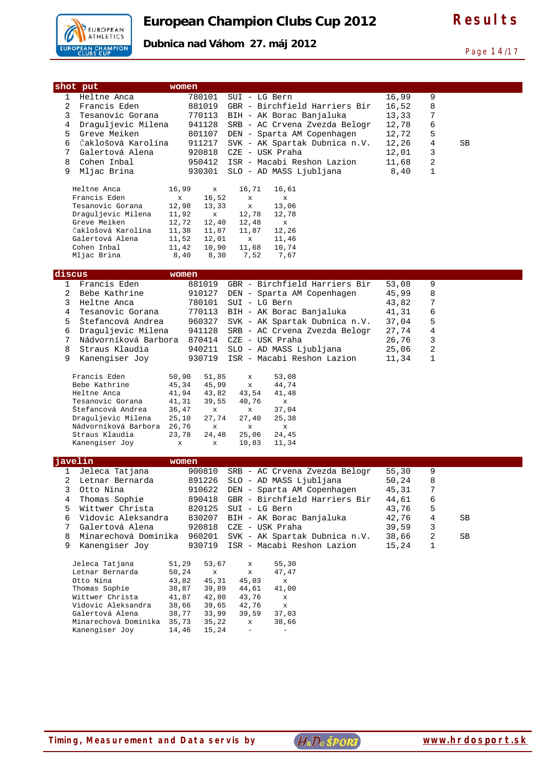

#### **Dubnica nad Váhom 27. máj 2012**

Page 14/17

| shot put<br>women                                                                                                   |                         |   |    |
|---------------------------------------------------------------------------------------------------------------------|-------------------------|---|----|
| $\mathbf{1}$<br>Heltne Anca<br>780101<br>SUI - LG Bern                                                              | 16,99                   | 9 |    |
| 2<br>Francis Eden<br>881019<br>GBR - Birchfield Harriers Bir                                                        | 16,52                   | 8 |    |
| 3<br>Tesanovic Gorana<br>770113<br>BIH - AK Borac Banjaluka                                                         | 13,33                   | 7 |    |
| Draguljevic Milena<br>4<br>941128<br>SRB - AC Crvena Zvezda Belogr                                                  | 12,78                   | 6 |    |
| 5<br>Greve Meiken<br>801107<br>DEN - Sparta AM Copenhagen                                                           | 12,72                   | 5 |    |
| 6<br>Čaklošová Karolína<br>911217<br>SVK - AK Spartak Dubnica n.V.                                                  | 12,26                   | 4 | SB |
| 7<br>Galertová Alena<br>920818<br>CZE - USK Praha                                                                   | 12,01                   | 3 |    |
| 8<br>Cohen Inbal<br>950412<br>ISR - Macabi Reshon Lazion                                                            | 11,68                   | 2 |    |
| 9<br>Mljac Brina<br>SLO - AD MASS Ljubljana<br>930301                                                               | 8,40                    | 1 |    |
| Heltne Anca                                                                                                         |                         |   |    |
| 16,99<br>$\mathbf x$<br>16,71<br>16,61<br>Francis Eden<br>$\mathbf{x}$<br>16,52<br>x<br>x                           |                         |   |    |
| Tesanovic Gorana<br>12,98<br>13,33<br>$\mathbf x$<br>13,06                                                          |                         |   |    |
| Draguljevic Milena<br>11,92<br>$\mathbf x$<br>12,78<br>12,78                                                        |                         |   |    |
| Greve Meiken<br>12,72<br>12,40<br>12,48<br>x                                                                        |                         |   |    |
| Čaklošová Karolína<br>11,38<br>11,87<br>12,26<br>11,87                                                              |                         |   |    |
| Galertová Alena<br>11,52<br>12,01<br>$\mathbf x$<br>11,46                                                           |                         |   |    |
| Cohen Inbal<br>10,90<br>11,42<br>11,68<br>10,74                                                                     |                         |   |    |
| Mljac Brina<br>8,40<br>8,30<br>7,52<br>7,67                                                                         |                         |   |    |
|                                                                                                                     |                         |   |    |
| discus<br>women                                                                                                     |                         |   |    |
| GBR - Birchfield Harriers Bir<br>$\mathbf{1}$<br>Francis Eden<br>881019<br>2<br>Bebe Kathrine                       | 53,08                   | 9 |    |
| 910127<br>DEN - Sparta AM Copenhagen                                                                                | 45,99                   | 8 |    |
| 3<br>Heltne Anca<br>780101<br>SUI - LG Bern                                                                         | 43,82                   | 7 |    |
| 4<br>Tesanovic Gorana<br>770113<br>BIH - AK Borac Banjaluka<br>Štefancová Andrea                                    | 41,31                   | 6 |    |
| 5<br>960327<br>SVK - AK Spartak Dubnica n.V.                                                                        | 37,04                   | 5 |    |
| Draguljevic Milena<br>941128<br>6<br>SRB - AC Crvena Zvezda Belogr                                                  | 27,74                   | 4 |    |
| CZE - USK Praha<br>7<br>Nádvorníková Barbora<br>870414                                                              | 26,76                   | 3 |    |
| 8<br>Straus Klaudia<br>940211<br>SLO - AD MASS Ljubljana                                                            | 25,06                   | 2 |    |
| 9<br>Kanengiser Joy<br>ISR - Macabi Reshon Lazion<br>930719                                                         | 11,34                   | 1 |    |
| Francis Eden<br>50,90<br>51,85<br>53,08<br>x                                                                        |                         |   |    |
| Bebe Kathrine<br>45,34<br>45,99<br>44,74<br>$\mathbf x$                                                             |                         |   |    |
| Heltne Anca<br>41,94<br>43,82<br>43,54<br>41,48                                                                     |                         |   |    |
| Tesanovic Gorana<br>39,55<br>40,76<br>41,31<br>x                                                                    |                         |   |    |
| Štefancová Andrea<br>36,47<br>37,04<br>x<br>x                                                                       |                         |   |    |
| Draguljevic Milena<br>25,10<br>27,74<br>27,40<br>25,38                                                              |                         |   |    |
| Nádvorníková Barbora<br>26,76<br>$\mathbf x$<br>x<br>x                                                              |                         |   |    |
| Straus Klaudia<br>23,78<br>24,48<br>25,06<br>24,45<br>$\mathbf x$                                                   |                         |   |    |
| Kanengiser Joy<br>10,83<br>11,34<br>x                                                                               |                         |   |    |
| javelin<br>women                                                                                                    |                         |   |    |
| Jeleca Tatjana<br>SRB - AC Crvena Zvezda Belogr<br>1<br>900810                                                      | 55,30                   | 9 |    |
| 891226<br>SLO - AD MASS Ljubljana<br>Letnar Bernarda                                                                | ${\bf 50}$ , ${\bf 24}$ | 8 |    |
| 3<br>910622 DEN - Sparta AM Copenhagen<br>Otto Nina                                                                 | 45,31                   | 7 |    |
| 4<br>Thomas Sophie<br>890418<br>GBR - Birchfield Harriers Bir                                                       | 44,61                   | 6 |    |
| 5<br>Wittwer Christa<br>820125<br>SUI - LG Bern                                                                     | 43,76                   | 5 |    |
| Vidovic Aleksandra<br>6<br>830207<br>BIH - AK Borac Banjaluka                                                       | 42,76                   | 4 | SВ |
| 7<br>Galertová Alena<br>920818<br>CZE - USK Praha                                                                   | 39,59                   | 3 |    |
| 8<br>Minarechová Dominika<br>960201<br>SVK - AK Spartak Dubnica n.V.                                                | 38,66                   | 2 | SB |
| 9<br>Kanengiser Joy<br>930719<br>ISR - Macabi Reshon Lazion                                                         | 15,24                   | 1 |    |
|                                                                                                                     |                         |   |    |
| Jeleca Tatjana<br>51,29<br>53,67<br>55,30<br>$\mathbf x$                                                            |                         |   |    |
| Letnar Bernarda<br>50,24<br>47,47<br>$\mathbf x$<br>$\mathbf x$                                                     |                         |   |    |
| Otto Nina<br>43,82<br>45,31<br>45,03<br>x<br>Thomas Sophie<br>38,87<br>39,89<br>44,61<br>41,00                      |                         |   |    |
|                                                                                                                     |                         |   |    |
|                                                                                                                     |                         |   |    |
| Wittwer Christa<br>41,87<br>42,80<br>43,76<br>$\mathbf x$                                                           |                         |   |    |
| Vidovic Aleksandra<br>38,66<br>39,65<br>42,76<br>$\mathbf x$<br>Galertová Alena<br>38,77<br>33,99<br>39,59<br>37,03 |                         |   |    |
| Minarechová Dominika 35,73<br>35,22<br>38,66<br>$\mathbf x$                                                         |                         |   |    |
| Kanengiser Joy<br>14,46<br>15,24<br>$\equiv$<br>$\overline{\phantom{a}}$                                            |                         |   |    |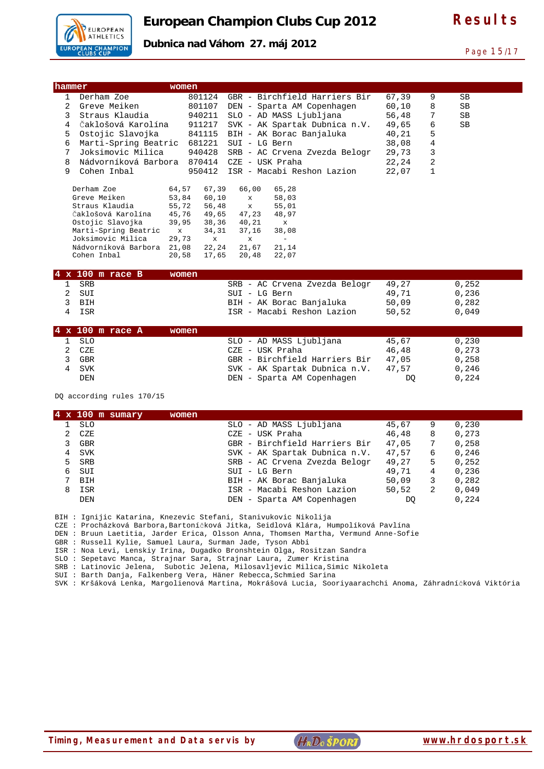

Page 15/17

#### **Dubnica nad Váhom 27. máj 2012**

| hammer      |                                             | women       |                |                |                               |       |                |       |
|-------------|---------------------------------------------|-------------|----------------|----------------|-------------------------------|-------|----------------|-------|
| $\mathbf 1$ | Derham Zoe                                  |             | 801124         |                | GBR - Birchfield Harriers Bir | 67,39 | 9              | SB    |
| 2           | Greve Meiken                                |             | 801107         |                | DEN - Sparta AM Copenhagen    | 60,10 | 8              | SB    |
| 3           | Straus Klaudia                              |             | 940211         |                | SLO - AD MASS Ljubljana       | 56,48 | 7              | SB    |
| 4           | Čaklošová Karolína                          |             | 911217         |                | SVK - AK Spartak Dubnica n.V. | 49,65 | 6              | SB    |
| 5           | Ostojic Slavojka                            |             | 841115         |                | BIH - AK Borac Banjaluka      | 40,21 | 5              |       |
| 6           | Marti-Spring Beatric 681221                 |             |                | SUI - LG Bern  |                               | 38,08 | $\overline{4}$ |       |
| 7           | Joksimovic Milica                           |             | 940428         |                | SRB - AC Crvena Zvezda Belogr | 29,73 | 3              |       |
| 8           | Nádvorníková Barbora 870414 CZE - USK Praha |             |                |                |                               | 22,24 | 2              |       |
| 9           | Cohen Inbal                                 |             | 950412         |                | ISR - Macabi Reshon Lazion    | 22,07 | $\mathbf{1}$   |       |
|             | Derham Zoe                                  | 64,57       | 67,39          | 66,00          | 65,28                         |       |                |       |
|             | Greve Meiken                                | 53,84       | 60,10          | $\mathbf x$    | 58,03                         |       |                |       |
|             | Straus Klaudia                              | 55,72       | 56,48          | $\mathbf{x}$   | 55,01                         |       |                |       |
|             | Čaklošová Karolína                          | 45,76       | 49,65          | 47,23          | 48,97                         |       |                |       |
|             | Ostojic Slavojka                            | 39,95       | 38,36          | 40,21          | $\mathbf{x}$                  |       |                |       |
|             | Marti-Spring Beatric                        | $\mathbf x$ | 34,31          | 37,16          | 38,08                         |       |                |       |
|             | Joksimovic Milica                           | 29,73       | $\mathbf{x}$   | $\mathbf x$    | $\equiv$                      |       |                |       |
|             | Nádvorníková Barbora 21,08<br>Cohen Inbal   | 20,58       | 22,24<br>17,65 | 21,67<br>20,48 | 21,14<br>22,07                |       |                |       |
|             |                                             |             |                |                |                               |       |                |       |
|             | $4 \times 100$ m race B                     | women       |                |                |                               |       |                |       |
| 1           | <b>SRB</b>                                  |             |                |                | SRB - AC Crvena Zvezda Belogr | 49,27 |                | 0,252 |
| 2           | SUI                                         |             |                | SUI - LG Bern  |                               | 49,71 |                | 0,236 |
| 3           | <b>BIH</b>                                  |             |                |                | BIH - AK Borac Banjaluka      | 50,09 |                | 0,282 |
| 4           | ISR                                         |             |                |                | ISR - Macabi Reshon Lazion    | 50,52 |                | 0,049 |
|             | $4 \times 100$ m race A                     | women       |                |                |                               |       |                |       |
| 1           | <b>SLO</b>                                  |             |                |                | SLO - AD MASS Ljubljana       | 45,67 |                | 0,230 |
| 2           | CZE                                         |             |                |                | CZE - USK Praha               | 46,48 |                | 0,273 |
| 3           | <b>GBR</b>                                  |             |                |                | GBR - Birchfield Harriers Bir | 47,05 |                | 0,258 |
| 4           | <b>SVK</b>                                  |             |                |                | SVK - AK Spartak Dubnica n.V. | 47,57 |                | 0,246 |
|             | <b>DEN</b>                                  |             |                |                | DEN - Sparta AM Copenhagen    | DO.   |                | 0,224 |

DQ according rules 170/15

|   | $4 \times 100$ m sumary | women |                               |       |   |       |  |
|---|-------------------------|-------|-------------------------------|-------|---|-------|--|
|   | <b>SLO</b>              |       | SLO - AD MASS Ljubljana       | 45,67 | 9 | 0,230 |  |
|   | CZE                     |       | CZE - USK Praha               | 46,48 | 8 | 0,273 |  |
|   | <b>GBR</b>              |       | GBR - Birchfield Harriers Bir | 47,05 | 7 | 0,258 |  |
|   | <b>SVK</b>              |       | SVK - AK Spartak Dubnica n.V. | 47,57 | 6 | 0.246 |  |
|   | <b>SRB</b>              |       | SRB - AC Crvena Zvezda Belogr | 49,27 | 5 | 0,252 |  |
| 6 | SUI                     |       | SUI - LG Bern                 | 49,71 | 4 | 0,236 |  |
|   | <b>BIH</b>              |       | BIH - AK Borac Banjaluka      | 50,09 | 3 | 0,282 |  |
| 8 | ISR                     |       | ISR - Macabi Reshon Lazion    | 50.52 | 2 | 0,049 |  |
|   | <b>DEN</b>              |       | DEN - Sparta AM Copenhagen    | DO    |   | 0.224 |  |

BIH : Ignijic Katarina, Knezevic Stefani, Stanivukovic Nikolija

CZE : Procházková Barbora,Bartoníčková Jitka, Seidlová Klára, Humpolíková Pavlína

DEN : Bruun Laetitia, Jarder Erica, Olsson Anna, Thomsen Martha, Vermund Anne-Sofie

GBR : Russell Kylie, Samuel Laura, Surman Jade, Tyson Abbi

ISR : Noa Levi, Lenskiy Irina, Dugadko Bronshtein Olga, Rositzan Sandra

SLO : Sepetavc Manca, Strajnar Sara, Strajnar Laura, Zumer Kristina

SRB : Latinovic Jelena, Subotic Jelena, Milosavljevic Milica,Simic Nikoleta

SUI : Barth Danja, Falkenberg Vera, Häner Rebecca,Schmied Sarina

SVK : Kršáková Lenka, Margolienová Martina, Mokrášová Lucia, Sooriyaarachchi Anoma, Záhradníčková Viktória

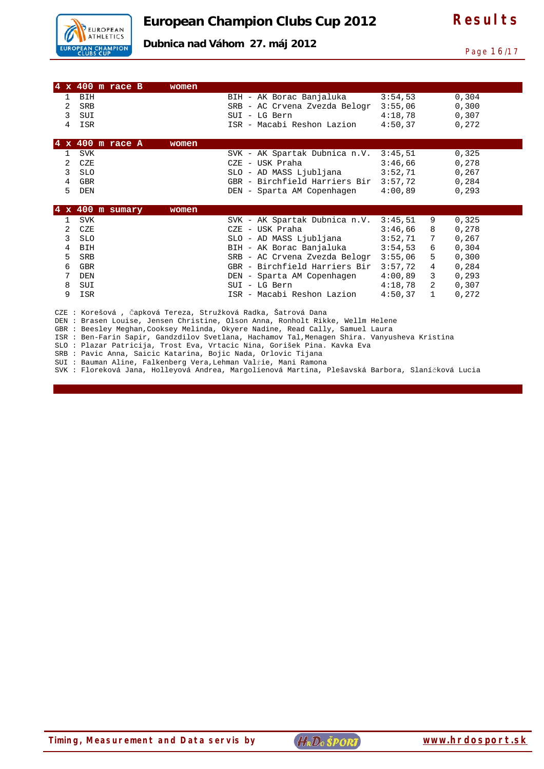

**Dubnica nad Váhom 27. máj 2012** 

Page 16/17

|                | $4 \times 400$ m race B<br>women |                                                                                                                                                                 |         |              |        |  |
|----------------|----------------------------------|-----------------------------------------------------------------------------------------------------------------------------------------------------------------|---------|--------------|--------|--|
| $\mathbf{1}$   | <b>BIH</b>                       | BIH - AK Borac Banjaluka                                                                                                                                        | 3:54,53 |              | 0,304  |  |
| 2              | <b>SRB</b>                       | SRB - AC Crvena Zvezda Belogr                                                                                                                                   | 3:55,06 |              | 0,300  |  |
| 3              |                                  |                                                                                                                                                                 |         |              |        |  |
|                | SUI                              | SUI - LG Bern                                                                                                                                                   | 4:18.78 |              | 0,307  |  |
| 4              | ISR                              | ISR - Macabi Reshon Lazion                                                                                                                                      | 4:50,37 |              | 0,272  |  |
|                | $4 \times 400$ m race A<br>women |                                                                                                                                                                 |         |              |        |  |
| 1              | <b>SVK</b>                       | SVK - AK Spartak Dubnica n.V.                                                                                                                                   | 3:45,51 |              | 0,325  |  |
| $\overline{2}$ | CZE                              | CZE - USK Praha                                                                                                                                                 | 3:46.66 |              | 0,278  |  |
| 3              | <b>SLO</b>                       | SLO - AD MASS Ljubljana                                                                                                                                         | 3:52,71 |              | 0,267  |  |
|                |                                  | GBR - Birchfield Harriers Bir                                                                                                                                   | 3:57.72 |              |        |  |
| 4<br>5         | <b>GBR</b>                       |                                                                                                                                                                 |         |              | 0,284  |  |
|                | DEN                              | DEN - Sparta AM Copenhagen                                                                                                                                      | 4:00,89 |              | 0, 293 |  |
|                | $4 \times 400$ m sumary<br>women |                                                                                                                                                                 |         |              |        |  |
| $\mathbf{1}$   | <b>SVK</b>                       | SVK - AK Spartak Dubnica n.V.                                                                                                                                   | 3:45,51 | 9            | 0,325  |  |
| 2              |                                  |                                                                                                                                                                 |         |              |        |  |
|                |                                  |                                                                                                                                                                 |         |              |        |  |
|                | CZE                              | CZE - USK Praha                                                                                                                                                 | 3:46,66 | 8            | 0,278  |  |
| 3              | <b>SLO</b>                       | SLO - AD MASS Ljubljana                                                                                                                                         | 3:52,71 | 7            | 0,267  |  |
| 4              | <b>BIH</b>                       | BIH - AK Borac Banjaluka                                                                                                                                        | 3:54.53 | 6            | 0.304  |  |
| 5              | <b>SRB</b>                       | SRB - AC Crvena Zvezda Belogr                                                                                                                                   | 3:55,06 | 5            | 0,300  |  |
| 6              | GBR                              | GBR - Birchfield Harriers Bir                                                                                                                                   | 3:57,72 | 4            | 0,284  |  |
| 7              | DEN                              | DEN - Sparta AM Copenhagen                                                                                                                                      | 4:00.89 | 3            | 0, 293 |  |
| 8              | SUI                              | SUI - LG Bern                                                                                                                                                   | 4:18.78 | 2            | 0.307  |  |
| 9              | ISR                              | ISR - Macabi Reshon Lazion                                                                                                                                      | 4:50,37 | $\mathbf{1}$ | 0,272  |  |
|                |                                  |                                                                                                                                                                 |         |              |        |  |
|                |                                  | CZE : Korešová , Čapková Tereza, Stružková Radka, Šatrová Dana                                                                                                  |         |              |        |  |
|                |                                  | DEN : Brasen Louise, Jensen Christine, Olson Anna, Ronholt Rikke, Wellm Helene<br>GBR: Beesley Meghan, Cooksey Melinda, Okyere Nadine, Read Cally, Samuel Laura |         |              |        |  |

ISR : Ben-Farin Sapir, Gandzdilov Svetlana, Hachamov Tal,Menagen Shira. Vanyusheva Kristina

SLO : Plazar Patricija, Trost Eva, Vrtacic Nina, Gorišek Pina. Kavka Eva

SRB : Pavic Anna, Saicic Katarina, Bojic Nada, Orlovic Tijana

SUI : Bauman Aline, Falkenberg Vera,Lehman Valŕie, Mani Ramona

SVK : Floreková Jana, Holleyová Andrea, Margolienová Martina, Plešavská Barbora, Slaníčková Lucia